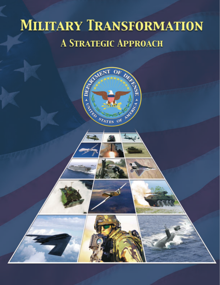# **MILITARY TRANSFORMATION A STRATEGIC APPROACH**

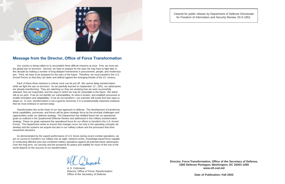



# **Message from the Director, Office of Force Transformation**

Our country is being called on to accomplish three difficult missions at once. First, we must win the global war on terrorism. Second, we have to prepare for the wars we may have to fight later in this decade by making a number of long-delayed investments in procurement, people, and modernization. Third, we have to be prepared for the wars of the future. Therefore, we must transform the U.S. Armed Forces so that they can deter and defend against the emerging threats of the  $21<sup>st</sup>$  century.

Each of these three missions is critical; none can be put off. We cannot delay transformation while we fight the war on terrorism. As we painfully learned on September  $11<sup>th</sup>$ , 2001, our adversaries are already transforming. They are watching us; they are studying how we were successfully attacked, how we responded, and the ways in which we may be vulnerable in the future. We stand still at our peril. If we do not identify our vulnerabilities, fix what is broken, and establish processes to enable innovation and adaptability—if we do not transform—our enemies will surely find new ways to attack us. In sum, transformation is not a goal for tomorrow; it is a fundamentally important endeavor that we must embrace in earnest today.

Transformation lies at the heart of our new approach to defense. The development of transformational capabilities, processes, and forces will be given strategic focus by the principal challenges and opportunities under our defense strategy. The Department has distilled these into six operational goals as outlined in the Quadrennial Defense Review and addressed in this military transformation strategy. These six goals represent the operational focus for our efforts to transform the U.S. Armed Forces. The Department seeks to ensure that changes occur not only in the operating concepts we develop and the systems we acquire but also in our military culture and the processes that drive investment decisions.

As demonstrated by the superb performance of U.S. forces during recent combat operations, we are on course to transform our military into an agile, network-centric, knowledge-based force capable of conducting effective joint and combined military operations against all potential future adversaries. Over the long term, our security and the prospects for peace and stability for much of the rest of the world depend on the success of our transformation.

A. K. Cebrowski *Director, Office of Force Transformation* Office of the Secretary of Defense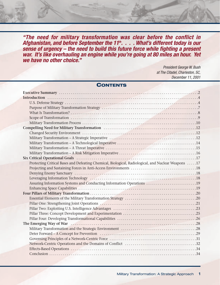*"The need for military transformation was clear before the conflict in* Afghanistan, and before September the 11<sup>th</sup>. . . . What's different today is our *sense of urgency – the need to build this future force while fighting a present war. It's like overhauling an engine while you're going at 80 miles an hour. Yet we have no other choice."*

> *President George W. Bush at The Citadel, Charleston, SC, December 11, 2001*

**CONTENTS**

| Protecting Critical Bases and Defeating Chemical, Biological, Radiological, and Nuclear Weapons 17 |
|----------------------------------------------------------------------------------------------------|
|                                                                                                    |
|                                                                                                    |
|                                                                                                    |
|                                                                                                    |
|                                                                                                    |
|                                                                                                    |
|                                                                                                    |
|                                                                                                    |
|                                                                                                    |
|                                                                                                    |
|                                                                                                    |
|                                                                                                    |
|                                                                                                    |
|                                                                                                    |
|                                                                                                    |
|                                                                                                    |
|                                                                                                    |
|                                                                                                    |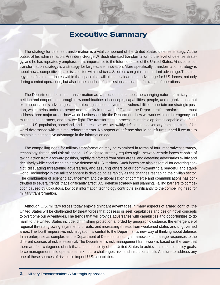# **Executive Summary**

The strategy for defense transformation is a vital component of the United States' defense strategy. At the outset of his administration, President George W. Bush elevated transformation to the level of defense strategy, and he has repeatedly emphasized its importance to the future defense of the United States. At its core, our transformation strategy is a strategy for large-scale innovation. More specifically, transformation strategy is about how a competitive space is selected within which U.S. forces can gain an important advantage.The strategy identifies the attributes within that space that will ultimately lead to an advantage for U.S. forces, not only during combat operations, but also in the conduct of all missions across the full range of operations.

The Department describes transformation as "a process that shapes the changing nature of military competition and cooperation through new combinations of concepts, capabilities, people, and organizations that exploit our nation's advantages and protect against our asymmetric vulnerabilities to sustain our strategic position, which helps underpin peace and stability in the world." Overall, the Department's transformation must address three major areas: how we do business inside the Department, how we work with our interagency and multinational partners, and how we fight. The transformation process must develop forces capable of defending the U.S. population, homeland, and interests, as well as swiftly defeating an adversary from a posture of forward deterrence with minimal reinforcements. No aspect of defense should be left untouched if we are to maintain a competitive advantage in the information age.

The compelling need for military transformation may be examined in terms of four imperatives: strategy, technology, threat, and risk mitigation. U.S. defense strategy requires agile, network-centric forces capable of taking action from a forward position, rapidly reinforced from other areas, and defeating adversaries swiftly and decisively while conducting an active defense of U.S. territory. Such forces are also essential for deterring conflict, dissuading threatening adversaries, and assuring others of our commitment to a peaceful and stable world. Technology in the military sphere is developing as rapidly as the changes reshaping the civilian sector. The combination of scientific advancement and the globalization of commerce and communications has contributed to several trends that significantly affect U.S. defense strategy and planning. Falling barriers to competition caused by ubiquitous, low cost information technology contribute significantly to the compelling need for military transformation.

Although U.S. military forces today enjoy significant advantages in many aspects of armed conflict, the United States will be challenged by threat forces that possess or seek capabilities and design novel concepts to overcome our advantages. The trends that will provide adversaries with capabilities and opportunities to do harm to the United States include: diminishing protection afforded by geographic distance, the emergence of regional threats, growing asymmetric threats, and increasing threats from weakened states and ungoverned areas. The fourth imperative, risk mitigation, is central to the Department's new way of thinking about defense. In an enterprise as complex as the Department of Defense, creating a framework to manage responses to the different sources of risk is essential. The Department's risk management framework is based on the view that there are four categories of risk that affect the ability of the United States to achieve its defense policy goals: force management risk, operational risk, future challenges risk, and institutional risk. A failure to address any one of these sources of risk could imperil U.S. capabilities.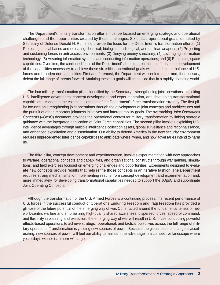The Department's military transformation efforts must be focused on emerging strategic and operational challenges and the opportunities created by these challenges. Six critical operational goals identified by Secretary of Defense Donald H. Rumsfeld provide the focus for the Department's transformation efforts: (1) Protecting critical bases and defeating chemical, biological, radiological, and nuclear weapons; (2) Projecting and sustaining forces in anti-access environments; (3) Denying enemy sanctuary; (4) Leveraging information technology; (5) Assuring information systems and conducting information operations; and (6) Enhancing space capabilities. Over time, the continued focus of the Department's force transformation efforts on the development of the capabilities necessary to achieve these six critical operational goals will help shift the balance of U.S. forces and broaden our capabilities. First and foremost, the Department will seek to deter and, if necessary, defeat the full range of threats forward. Attaining these six goals will help us do that in a rapidly changing world.

The four military transformation pillars identified by the Secretary—strengthening joint operations, exploiting U.S. intelligence advantages, concept development and experimentation, and developing transformational capabilities—constitute the essential elements of the Department's force transformation strategy. The first pillar focuses on strengthening joint operations through the development of joint concepts and architectures and the pursuit of other important jointness initiatives and interoperability goals. The overarching *Joint Operations Concepts* (*JOpsC*) document provides the operational context for military transformation by linking strategic guidance with the integrated application of Joint Force capabilities. The second pillar involves exploiting U.S. intelligence advantages through multiple intelligence collection assets, global surveillance and reconnaissance, and enhanced exploitation and dissemination. Our ability to defend America in the new security environment requires unprecedented intelligence capabilities to anticipate where, when, and how adversaries intend to harm us.

The third pillar, concept development and experimentation, involves experimentation with new approaches to warfare, operational concepts and capabilities, and organizational constructs through war gaming, simulations, and field exercises focused on emerging challenges and opportunities. Experiments designed to evaluate new concepts provide results that help refine those concepts in an iterative fashion. The Department requires strong mechanisms for implementing results from concept development and experimentation and, more immediately, for developing transformational capabilities needed to support the JOpsC and subordinate Joint Operating Concepts.

Although the transformation of the U.S. Armed Forces is a continuing process, the recent performance of U.S. forces in the successful conduct of Operations Enduring Freedom and Iraqi Freedom has provided a glimpse of the future potential of the emerging way of war. Constructed around the fundamental tenets of network-centric warfare and emphasizing high-quality shared awareness, dispersed forces, speed of command, and flexibility in planning and execution, the emerging way of war will result in U.S. forces conducting powerful effects-based operations to achieve strategic, operational, and tactical objectives across the full range of military operations. Transformation is yielding new sources of power. Because the global pace of change is accelerating, new sources of power will fuel our ability to maintain the advantage in a competitive landscape where yesterday's winner is tomorrow's target.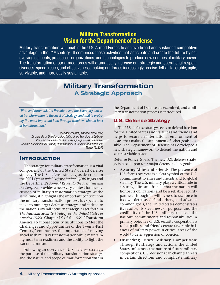# **Military Transformation Vision for the Department of Defense**

Military transformation will enable the U.S. Armed Forces to achieve broad and sustained competitive advantage in the 21<sup>st</sup> century. It comprises those activities that anticipate and create the future by coevolving concepts, processes, organizations, and technologies to produce new sources of military power. The transformation of our armed forces will dramatically increase our strategic and operational responsiveness, speed, reach, and effectiveness, making our forces increasingly precise, lethal, tailorable, agile, survivable, and more easily sustainable.

# **Military Transformation A Strategic Approach**

*"First and foremost, the President and the Secretary elevated transformation to the level of strategy, and that is probably the most important lens through which we should look at transformation."*

*Vice Admiral (Ret.) Arthur K. Cebrowski, Director, Force Transformation, Office of the Secretary of Defense, Prepared Statement for the House Appropriations Committee, Defense Subcommittee Hearing on Department of Defense Transformation, March 13, 2002* 

#### **INTRODUCTION**

The strategy for military transformation is a vital component of the United States' overall defense strategy. The U.S. defense strategy, as described in the 2001 *Quadrennial Defense Review (QDR) Report* and the Department's *Annual Report to the President and the Congress*, provides a necessary context for the discussion of military transformation strategy. At the same time, it highlights the important contribution the military transformation process is expected to make to our larger defense strategy, and indeed to the nation's overall security strategy, as set forth in *The National Security Strategy of the United States of America (NSS)*. Chapter IX of the *NSS*, "Transform America's National Security Institutions to Meet the Challenges and Opportunities of the Twenty-First Century," emphasizes the importance of moving ahead with military transformation while maintaining near-term readiness and the ability to fight the war on terrorism.

Following an overview of U.S. defense strategy, the purpose of the military transformation strategy and the nature and scope of transformation within the Department of Defense are examined, and a military transformation process is introduced.

## **U.S. Defense Strategy**

The U.S. defense strategy seeks to defend freedom for the United States and its allies and friends and helps to secure an international environment of peace that makes the attainment of other goals possible. The Department of Defense has developed a new strategic framework to defend the nation and secure a viable peace.

**Defense Policy Goals:** The new U.S. defense strategy is based upon four major defense policy goals:

- **Assuring Allies and Friends:** The presence of U.S. forces overseas is a clear symbol of the U.S. commitment to allies and friends and to global stability. The U.S. military plays a critical role in assuring allies and friends that the nation will honor its obligations and be a reliable security partner. Through its willingness to use force in its own defense, defend others, and advance common goals, the United States demonstrates its resolve, its steadiness of purpose, and the credibility of the U.S. military to meet the nation's commitments and responsibilities. A primary objective of U.S. security cooperation is to help allies and friends create favorable balances of military power in critical areas of the world to deter aggression or coercion.
- **Dissuading Future Military Competition:** Through its strategy and actions, the United States influences the nature of future military competitions. U.S. decisions can channel threats in certain directions and complicate military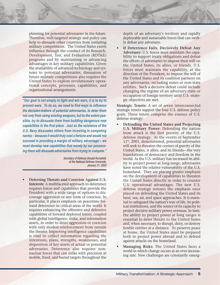planning for potential adversaries in the future. Therefore, well-targeted strategy and policy can help to dissuade other countries from initiating military competitions. The United States exerts influence through the conduct of its Research, Development, Test, and Evaluation (RDT&E) programs and by maintaining or advancing advantages in key military capabilities. Given the availability of advanced technology and systems to potential adversaries, dissuasion of future military competitions also requires the United States to explore revolutionary operational concepts, processes, capabilities, and organizational arrangements.

*"Our goal is not simply to fight and win wars, it is to try to prevent wars. To do so, we need to find ways to influence the decision-makers of potential adversaries, to deter them not only from using existing weapons, but to the extent possible, try to dissuade them from building dangerous new capabilities in the first place. Just as the existence of the U.S. Navy dissuades others from investing in competing navies – because it would truly cost a fortune and would not succeed in providing a margin of military advantage – we must develop new capabilities that merely by our possessing them will dissuade adversaries from trying to compete."*

> *Secretary of Defense Donald Rumsfeld, at the National Defense University, January 31, 2002*

• **Deterring Threats and Coercion Against U.S. Interests:** A multifaceted approach to deterrence requires forces and capabilities that provide the President with a wide range of options to discourage aggression or any form of coercion. In particular, it places emphasis on peacetime forward deterrence in critical areas of the world. It requires enhancing the offensive and defensive capabilities of forward deployed forces, coupled with global intelligence, strike, and information assets, in order to deter aggression or coercion with only modest reinforcement from outside the theater. Improving intelligence capabilities is vital to collect information regarding the intentions, plans, strengths, weaknesses, and disposition of key assets of actual or potential adversaries. Deterrence also requires nonnuclear forces that can strike with precision at mobile, fixed, and buried targets throughout the

depth of an adversary's territory and rapidly deployable and sustainable forces that can swiftly defeat any adversary.

• **If Deterrence Fails, Decisively Defeat Any Adversary:** U.S. forces must maintain the capability to support treaty obligations and defeat the efforts of adversaries to impose their will on the United States, its allies, or friends. U.S. forces must maintain the capability, at the direction of the President, to impose the will of the United States and its coalition partners on any adversaries, including states or non-state entities. Such a decisive defeat could include changing the regime of an adversary state or occupation of foreign territory until U.S. strategic objectives are met.

**Strategic Tenets:** A set of seven interconnected strategic tenets support the four U.S. defense policy goals. These tenets comprise the essence of U.S. defense strategy:

- **Defending the United States and Projecting U.S. Military Power:** Defending the nation from attack is the first priority of the U.S. defense strategy. As the events of September 11th, 2001, demonstrated, potential adversaries will seek to threaten the centers of gravity of the United States, it allies, and its friends—the very foundations of democracy and freedom in the world. As the U.S. military has increased its ability to project power at long-range, adversaries have noted the relative vulnerability of the U.S. homeland. They are placing greater emphasis on the development of capabilities to threaten the United States directly in order to counter U.S. operational advantages. The new U.S. defense strategy restores the emphasis once placed on defending the United States and its land, sea, air, and space approaches. It is essential to safeguard the nation's way of life, its political institutions, and the source of its capacity to project decisive military power overseas. In turn, the ability to project power at long ranges is essential to deter threats to the United States and, when necessary, to disrupt, deny, or destroy hostile entities at a distance. To preserve peace at home, the United States must be prepared both to project power abroad and to defend against attacks on the homeland.
- **Managing Risks:** The United States faces a world in which change occurs at an ever-increasing rate. New challenges are constantly emerg-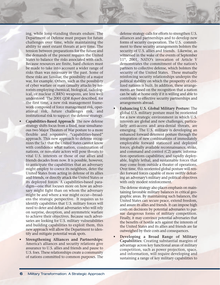ing, while long-standing threats endure. The Department of Defense must prepare for future challenges over time, while maintaining the ability to meet extant threats at any time. The tension between preparations for the future and the demands of the present requires the United States to balance the risks associated with each. Because resources are finite, hard choices must be made to take into account a wider range of risks than was necessary in the past. Some of these risks are familiar, the possibility of a major war, for example. Others, such as the possibility of cyber warfare or mass casualty attacks by terrorists employing chemical, biological, radiological, or nuclear (CBRN) weapons, are less well understood. The 2001 *QDR Report* described, for the first time, a new risk management framework composed of force management risk, operational risk, future challenges risk, and institutional risk to support the defense strategy.

- **Capabilities-Based Approach:** The new defense strategy shifts focus from a fixed, near simultaneous two Major Theaters of War posture to a more flexible and responsive "capabilities-based" approach. This new approach to defense recognizes the fact that the United States cannot know with confidence what nation, combination of nations, or non-state actors will pose threats to vital U.S. interests or those of our allies and friends decades from now. It is possible, however, to anticipate the capabilities that an adversary might employ to coerce its neighbors, deter the United States from acting in defense of its allies and friends, or directly attack the United States or its deployed forces. A capabilities-based paradigm—one that focuses more on how an adversary might fight than on whom the adversary might be and where a war might occur—broadens the strategic perspective. It requires us to identify capabilities that U.S. military forces will need to deter and defeat adversaries who will rely on surprise, deception, and asymmetric warfare to achieve their objectives. Because such adversaries are looking for U.S. military vulnerabilities and building capabilities to exploit them, this new approach will allow the Department to identify and mitigate potential weak spots.
- **Strengthening Alliances and Partnerships:** America's alliances and security relations give assurance to U.S. allies and friends and pause to U.S. foes. These relationships create a community of nations committed to common purposes. The

defense strategy calls for efforts to strengthen U.S. alliances and partnerships and to develop new forms of security cooperation. The U.S. commitment to these security arrangements bolsters the security of U.S. allies and friends. Likewise, as witnessed in the wake of the events of September 11<sup>th</sup>, 2001, NATO's invocation of Article V demonstrates the commitment of the nation's partners to collective defense, which bolsters the security of the United States. These mutually reinforcing security relationships underpin the political stability on which the prosperity of civilized nations is built. In addition, these arrangements are based on the recognition that a nation can be safe at home only if it is willing and able to contribute to effective security partnerships and arrangements abroad.

• **Enhancing U.S. Global Military Posture:** The global U.S. military posture must be reoriented for a new strategic environment in which U.S. interests are global and new challenges, particularly anti-access and area-denial threats, are emerging. The U.S. military is developing an enhanced forward deterrent posture through the integration of new combinations of immediately employable forward stationed and deployed forces; globally available reconnaissance, strike, and command and control (C2) assets; information operations capabilities; and rapidly deployable, highly lethal, and sustainable forces that may come from outside a theater of operations. Over time, this reoriented global posture will render forward forces capable of more swiftly defeating an adversary's military and political objectives with only modest reinforcement.

The defense strategy also places emphasis on maintaining favorable military balances in critical geographic areas. By maintaining such balances, the United States can secure peace, extend freedom, and assure its allies and friends. It can impose high costs on decisions by potential adversaries to pursue dangerous forms of military competition. Finally, it may convince potential adversaries that the benefits of hostile acts against the interests of the United States and its allies and friends are far outweighed by their costs and consequences.

• **Developing a Broad Range of Military Capabilities:** Creating substantial margins of advantage across key functional areas of military competition, such as power projection, space, and information, will require developing and sustaining a range of key military capabilities to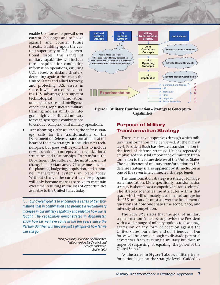enable U.S. forces to prevail over current challenges and to hedge against and counter future threats. Building upon the current superiority of U.S. conventional forces, this range of military capabilities will include those required for conducting information operations, ensuring U.S. access to distant theaters, defending against threats to the United States and allied territory, and protecting U.S. assets in space. It will also require exploiting U.S. advantages in superior technological innovation, unmatched space and intelligence capabilities, sophisticated military training, and an ability to integrate highly distributed military forces in synergistic combinations



**Figure 1. Military Transformation – Strategy to Concepts to Capabilities**

to conduct complex joint military operations.

• **Transforming Defense:** Finally, the defense strategy calls for the transformation of the Department of Defense. Transformation is at the heart of the new strategy. It includes new technologies, but goes well beyond this to include new operational concepts and organizational structures and relationships. To transform the Department, the culture of the institution must change in important areas. Change must include the planning, budgeting, acquisition, and personnel management systems in place today. Without change, the current defense program will only become more expensive to maintain over time, resulting in the loss of opportunities available to the United States today.

*". . . our overall goal is to encourage a series of transformations that in combination can produce a revolutionary increase in our military capability and redefine how war is fought. The capabilities demonstrated in Afghanistan show how far we have come in the ten years since the Persian Gulf War. But they are just a glimpse of how far we can still go."*

> *Deputy Secretary of Defense Paul Wolfowitz, Testimony before the Senate Armed Services Committee, April 9, 2002*

## **Purpose of Military Transformation Strategy**

There are many perspectives through which military transformation may be viewed. At the highest level, President Bush has elevated transformation to the level of defense strategy. He has repeatedly emphasized the vital importance of military transformation to the future defense of the United States. The significance of military transformation to U.S. defense strategy is also apparent by its inclusion as one of the seven interconnected strategic tenets.

The transformation strategy is a strategy for largescale innovation. More specifically, transformation strategy is about how a competitive space is selected. The strategy identifies the attributes within that space which will ultimately lead to an advantage for the U.S. military. It must answer the fundamental questions of how one shapes the scope, pace, and intensity of competition.

The 2002 *NSS* states that the goal of military transformation "must be to provide the President with a wider range of military options to discourage aggression or any form of coercion against the United States, our allies, and our friends . . . Our forces will be strong enough to dissuade potential adversaries from pursuing a military build-up in hopes of surpassing, or equaling, the power of the United States."

As illustrated in **Figure 1** above, military transformation begins at the strategic level. Guided by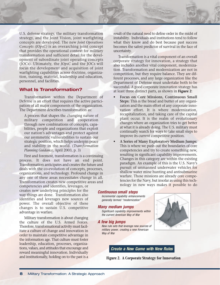U.S. defense strategy, the military transformation strategy, and the Joint Vision, joint warfighting concepts are developed. The new *Joint Operations Concepts (JOpsC)* is an overarching joint concept that provides the operational context for military transformation and sufficient detail for the development of subordinate joint operating concepts (JOCs). Ultimately, the *JOpsC* and the JOCs will focus the development and acquisition of joint warfighting capabilities across doctrine, organization, training, materiel, leadership and education, personnel, and facilities.

#### **What Is Transformation?**

Transformation within the Department of Defense is an effort that requires the active participation of all major components of the organization. The Department describes transformation as:

A process that shapes the changing nature of military competition and cooperation through new combinations of concepts, capabilities, people and organizations that exploit our nation's advantages and protect against our asymmetric vulnerabilities to sustain our strategic position, which helps underpin peace and stability in the world. (*Transformation Planning Guidance*, April 2003, p. 3)

First and foremost, transformation is a continuing process. It does not have an end point. Transformation anticipates and creates the future and deals with the co-evolution of concepts, processes, organizations, and technology. Profound change in any one of these areas necessitates change in all. Transformation creates new competitive areas and competencies and identifies, leverages, or creates new underlying principles for the way things are done. Transformation also identifies and leverages new sources of power. The overall objective of these changes is to sustain U.S. competitive advantage in warfare.

Military transformation is about changing the culture of the U.S. Armed Forces. Therefore, transformational activity must facilitate a culture of change and innovation in order to maintain competitive advantage in the information age. That culture must foster leadership, education, processes, organizations, values, and attitudes that encourage and reward meaningful innovation. Individually and institutionally, holding on to the past is a result of the natural need to define order in the midst of instability. Individuals and institutions tend to follow what they know and do best because past success becomes the safest predictor of survival in the face of uncertainty.

Transformation is a vital component of an overall corporate strategy for innovation, a strategy that also includes another vital component, modernization. Transformation and modernization are not in competition, but they require balance. They are different processes, and any large organization like the Department of Defense must undertake both to be successful. A good corporate innovation strategy has at least three distinct parts, as shown in **Figure 2**:

- **Focus on Core Missions, Continuous Small Steps:** This is the bread and butter of any organization and the main effort of any corporate innovation effort. It is where modernization, recapitalization, and taking care of the capital plant occur. It is the realm of evolutionary changes where an organization tries to get better at what it is already doing. The U.S. military must continually search for ways to take small steps to improve its current competitive position.
- **A Series of Many Exploratory Medium Jumps:** This is where we push out the boundaries of core competencies and try to create something new, resulting in significant capability improvements. Changes in this category are within the existing paradigm. An example of this is the U.S. Navy's pursuit of unmanned underwater vehicles for shallow water mine hunting and antisubmarine warfare. Those missions are already core competencies for the Navy, but insofar as using this technology in new ways makes it possible to do

#### *Continuous small steps*

*Incremental capability enhancements generally termed "modernization"*

#### *Many medium jumps*

*Significant capability improvements within the current American Way of War*

#### *A few big jumps*

*New rule sets that leverage new sources of military power, creating a new American Way of War*



#### *Create a New Game with New Rules*

**Figure 2. A Corporate Strategy for Innovation**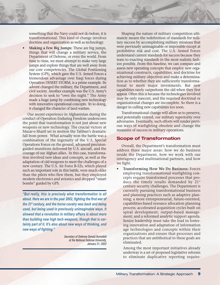something that the Navy could not do before, it is transformational. This kind of change involves doctrine and organization as well as technology.

• **Making a Few Big Jumps:** These are big jumps, things that will change a military service, the Department of Defense, or even the world. From time to time, we must attempt to make very large jumps and explore things that are well away from our core competencies. The Global Positioning System (GPS), which gave the U.S. Armed Forces a tremendous advantage over Iraqi forces during Operation DESERT STORM, is a prime example. Its advent changed the military, the Department, and civil society. Another example was the U.S. Army's decision to seek to "own the night." The Army made a huge jump by combining new technology with innovative operational concepts. In so doing, it changed the character of land warfare.

Our recent experience in Afghanistan during the conduct of Operation Enduring Freedom underscores the point that transformation is not just about new weapons or new technology. The crucial victory at Mazar-e-Sharif set in motion the Taliban's dramatic fall from power. What actually won the battle was a combination of the ingenuity of the U.S. Special Operations Forces on the ground, advanced precisionguided munitions delivered by U.S. aircraft, and the courage of our Afghan allies. In this case, transformation involved new ideas and concepts, as well as the adaptation of old weapons to meet the challenges of a new century. The U.S. Air Force B-52s, which played such an important role in this battle, were much older than the pilots who flew them, but they employed modern electronics and avionics and dropped "smart bombs" guided by GPS.

*"But really, this is precisely what transformation is all about. Here we are in the year 2002, fighting the first war of the 21st century, and the horse cavalry was back and being used, but being used in previously unimaginable ways. It showed that a revolution in military affairs is about more than building new high tech weapons, though that is certainly part of it. It's also about new ways of thinking, and new ways of fighting."*

> *Secretary of Defense Donald Rumsfeld at the National Defense University, January 31, 2002*

Shaping the nature of military competition ultimately means the redefinition of standards for military success by accomplishing military missions that were previously unimaginable or impossible except at prohibitive risk and cost. The U.S. Armed Forces understand current standards for success because they train to exacting standards in the most realistic fashion possible. From this baseline, we can compare and assess new operating concepts that employ new organizational constructs, capabilities, and doctrine for achieving military objectives and make a determination as to whether they are sufficiently transformational to merit major investments. But new capabilities rarely outperform the old when they first appear. Often this is because the technologies involved may be only nascent, and the required doctrinal or organizational changes are incomplete. So there is a danger in culling new capabilities too soon.

Transformational change will allow us to preserve, and potentially extend, our military superiority over adversaries. Eventually, such efforts will render previous ways of warfighting obsolete and change the measures of success in military operations.

#### **Scope of Transformation**

Overall, the Department's transformation must address three major areas: how we do business inside the Department, how we work with our interagency and multinational partners, and how we fight.

• **Transforming How We Do Business:** Forces employing transformational warfighting concepts require transformed processes that produce the timely results demanded by  $21^{st}$ century security challenges. The Department is currently pursuing transformational business and planning practices such as adaptive planning; a more entrepreneurial, future-oriented, capabilities-based resource allocation planning process; accelerated acquisition cycles built on spiral development; output-based management; and a reformed analytic support agenda. Senior leadership must take the lead in fostering innovation and adaptation of information age technologies and concepts within their organizations and ensure that processes and practices that are antithetical to these goals are eliminated.

Among the most important initiatives already underway is a set of proposed legislative reforms to eliminate duplicative reporting require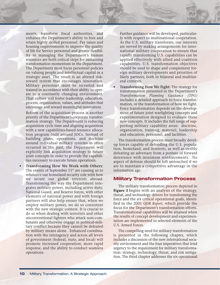ments, transform fiscal authorities, and enhance the Department's ability to hire and retain highly skilled personnel. Pay raises and housing improvements to improve the quality of life for Service personnel and greater flexibility in managing the Department's human resources are both critical steps for sustaining transformation momentum in the Department. The Department must focus personnel policies on valuing people and intellectual capital as a strategic asset. The result is an altered riskreward system that encourages innovation. Military personnel must be recruited and trained in accordance with their ability to operate in a constantly changing environment. That culture will foster leadership, education, process, organization, values, and attitudes that encourage and reward meaningful innovation.

Reform of the acquisition process is another priority of the Department's corporate transformation strategy. The Department is reducing acquisition cycle time and aligning acquisition with a new capabilities-based resource allocation program built around JOCs. Instead of building plans, operations, and doctrine around individual military systems as often occurred in the past, the Department will explicitly link acquisition strategy to future joint concepts in order to provide the capabilities necessary to execute future operations.

• **Transforming How We Work with Others:** The events of September  $11<sup>th</sup>$  are causing us to rebalance our homeland security role with how we secure our global interests abroad. Transforming the way the Department integrates military power, including active duty, National Guard, and Reserve forces, with other elements of national power and with foreign partners will also help ensure that, when we employ military power, we do so consistent with the new strategic context. It is crucial to do so when dealing with terrorists and other unconventional fighters who attack non-combatants and otherwise engage in political-military conflict because they cannot be defeated by military means alone. Enhanced coordination with the interagency and across all levels of government (federal, state, and local) will promote increased cooperation, more rapid response, and the ability to conduct seamless operations.

Further guidance will be developed, particularly with respect to multinational cooperation. As the U.S. military transforms, our interests are served by making arrangements for international military cooperation to ensure that rapidly transforming U.S. capabilities can be applied effectively with allied and coalition capabilities. U.S. transformation objectives should be used to shape and complement foreign military developments and priorities of likely partners, both in bilateral and multilateral contexts.

• **Transforming How We Fight:** The strategy for transformation presented in the Department's *Transformation Planning Guidance (TPG)* includes a detailed approach to force transformation, or the transformation of how we fight. Force transformation depends on the development of future joint warfighting concepts and experimentation designed to evaluate these new concepts. It includes the full range of supporting military capability areas: doctrine, organization, training, materiel, leadership and education, personnel, and facilities.

The transformation process must broadly develop forces capable of defending the U.S. population, homeland, and interests, as well as swiftly defeating an adversary from a posture of forward deterrence with minimum reinforcements. No aspect of defense should be left untouched if we are to maintain a competitive advantage in the information age.

#### **Military Transformation Process**

The military transformation process depicted in **Figure 3** begins with an analysis of the strategy, threat, and technology drivers for transforming the force and the six critical operational goals, identified in the 2001 *QDR Report*, which provide the focus for the Department's transformation efforts. Transformational capabilities will be attained when the results of concept development and experimentation are implemented in selected elements of the U.S. Armed Forces.

The compelling need for military transformation is presented in the following chapter, which includes a discussion of the new international security environment and the four imperatives that lend urgency to the requirement for military transformation: strategy, technology, threat, and risk mitigation. The third chapter addresses the six operational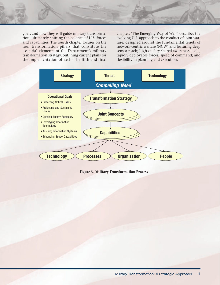goals and how they will guide military transformation, ultimately shifting the balance of U.S. forces and capabilities. The fourth chapter focuses on the four transformation pillars that constitute the essential elements of the Department's military transformation strategy, outlining current plans for the implementation of each. The fifth and final chapter, "The Emerging Way of War," describes the evolving U.S. approach to the conduct of joint warfare, designed around the fundamental tenets of network-centric warfare (NCW) and featuring deep sensor reach; high-quality shared awareness; agile, rapidly deployable forces; speed of command; and flexibility in planning and execution.



**Figure 3. Military Transformation Process**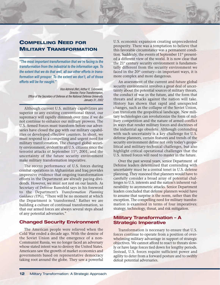## **COMPELLING NEED FOR MILITARY TRANSFORMATION**

*"The most important transformation that we're facing is the transformation from the industrial to the information age. To the extent that we do that well, all our other efforts in transformation will prosper. To the extent we don't, all of those efforts will be for naught."*

> *Vice Admiral (Ret.) Arthur K. Cebrowski, Director, Force Transformation, Office of the Secretary of Defense at the National Defense University, January 31, 2002*

Although current U.S. military capabilities are superior to any existing conventional threat, our supremacy will rapidly diminish over time if we do not continue to enhance our military prowess. The U.S. Armed Forces must transform before our adversaries have closed the gap with our military capabilities or developed effective counters. In short, we must respond to a compelling and urgent need for military transformation. The changed global security environment, evident to all U.S. citizens since the terrorist attacks of September  $11<sup>th</sup>$ , 2001, and the uncertainty of the future security environment make military transformation imperative.

The recent performance of U.S. forces during combat operations in Afghanistan and Iraq provides impressive evidence that ongoing transformation efforts in the Department are already paying dividends. However, we must not rest on our laurels. As Secretary of Defense Rumsfeld says in his foreword to the Department's *Transformation Planning Guidance (TPG)*, "There will be no moment at which the Department is 'transformed.' Rather we are building a culture of continual transformation, so that our armed forces are always several steps ahead of any potential adversaries."

#### **Changed Security Environment**

The American people were relieved when the Cold War ended a decade ago. With the demise of the Soviet Union and the emergence of a non-Communist Russia, we no longer faced an adversary whose stated intent was to destroy the United States. Americans saw the growth of market economics and governments based on representative democracy taking root around the globe. They saw a powerful U.S. economic expansion creating unprecedented prosperity. There was a temptation to believe that this favorable circumstance was a permanent condition. Suddenly, the events of September  $11<sup>th</sup>$  presented a different view of the world. It is now clear that the  $21<sup>st</sup>$  century security environment is fundamentally different from the security environment we faced in the  $20<sup>th</sup>$  century—in important ways, it is more complex and more dangerous.

An assessment of the current and future global security environment involves a great deal of uncertainty about the potential sources of military threats, the conduct of war in the future, and the form that threats and attacks against the nation will take. History has shown that rapid and unexpected changes, such as the collapse of the Soviet Union, can transform the geopolitical landscape. New military technologies can revolutionize the form of military competition and the nature of armed conflict in ways that render military forces and doctrines of the industrial age obsolete. Although contending with such uncertainty is a key challenge for U.S. defense planners, certain features and trends of the security environment define not only today's geopolitical and military-technical challenges, but also highlight critical operational challenges that the U.S. Armed Forces will need to master in the future.

Over the past several years, senior Department of Defense leaders determined that contending with uncertainty must be a central tenet in U.S. defense planning. They reasoned that planners would have to carefully consider a broad array of potential challenges to U.S. interests and the nation's inherent vulnerability to asymmetric attacks. Senior Department leaders concluded that defense planners would have to assume that surprise is the norm, rather than the exception. The compelling need for military transformation is examined in terms of four imperatives: strategy, technology, threat, and risk mitigation.

#### **Military Transformation – A Strategic Imperative**

Transformation is necessary to ensure that U.S. forces continue to operate from a position of overwhelming military advantage in support of strategic objectives. We cannot afford to react to threats slowly or have large forces tied down for lengthy periods. Instead, U.S. forces require sufficient power and agility to deter from a forward posture and to swiftly defeat potential adversaries.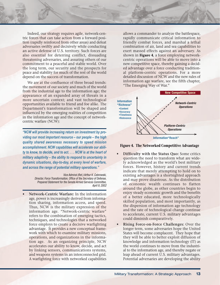Indeed, our strategy requires agile, network-centric forces that can take action from a forward position (rapidly reinforced from other areas) and defeat adversaries swiftly and decisively while conducting an active defense of U.S. territory. Such forces are also essential for deterring conflict, dissuading threatening adversaries, and assuring others of our commitment to a peaceful and stable world. Over the long term, our security and the prospects for peace and stability for much of the rest of the world depend on the success of transformation.

We are at the confluence of three broad trends: the movement of our society and much of the world from the industrial age to the information age; the appearance of an expanded array of threats in a more uncertain context; and vast technological opportunities available to friend and foe alike. The Department's transformation will be shaped and influenced by the emerging realities of competition in the information age and the concept of networkcentric warfare (NCW):

*"NCW will provide increasing return on investment by providing our most important resource – our people – the high quality shared awareness necessary to speed mission accomplishment. NCW capabilities will accelerate our ability to know, to decide, and to act. . . . NCW is at the heart of military adaptivity – the ability to respond to uncertainty in dynamic situations, day-to-day, at every level of warfare, and across the range of potential military operations."* 

> *Vice Admiral (Ret.) Arthur K. Cebrowski, Director, Force Transformation, Office of the Secretary of Defense, Prepared Statement for the Senate Armed Services Committee, April 9, 2002*

• **Network-Centric Warfare:** In the information age, power is increasingly derived from information sharing, information access, and speed. Thus, NCW is the military expression of the information age. "Network-centric warfare" refers to the combination of emerging tactics, techniques, and technologies that a networked force employs to create a decisive warfighting advantage. It provides a new conceptual framework with which to examine military missions, operations, and organizations in the information age. As an organizing principle, NCW accelerates our ability to know, decide, and act by linking sensors, communications systems, and weapons systems in an interconnected grid. A warfighting force with networked capabilities

allows a commander to analyze the battlespace, rapidly communicate critical information to friendly combat forces, and marshal a lethal combination of air, land and sea capabilities to exert massed effects against an adversary. As shown in **Figure 4**, a force employing networkcentric operations will be able to move into a new competitive space, thereby gaining a decided advantage over a force conducting traditional platform-centric operations. For a more detailed discussion of NCW and the new rules of information age warfare, see the fifth chapter, "The Emerging Way of War."



#### **Figure 4. The Networked Competitive Advantage**

- **Difficulty with the Status Quo:** Some critics question the need to transform what are widely acknowledged as the world's best military forces. However, history and current trends indicate that merely attempting to hold on to existing advantages is a shortsighted approach and may prove disastrous. As the distribution of economic wealth continues to flatten around the globe, as other countries begin to enjoy steady economic growth and the benefits of a better educated, more technologically skilled population, and most importantly, as the dispersion of information age technology and the rate of technological change continue to accelerate, current U.S. military advantages could diminish comparatively.
- **Rising Force-on-Force Challenges:** Over the longer term, some adversaries hope the United States will become complacent. They hope that they will be able to better exploit diffusion of knowledge and information technology (IT) as the world continues to move from the industrial to the information age, and thereby negate or leap ahead of current U.S. military advantages. Potential adversaries are developing the ability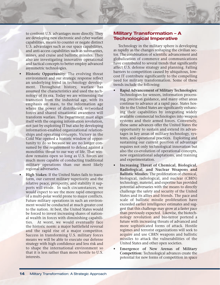to confront U.S. advantages more directly. They are developing new electronic and cyber warfare capabilities, means to counter or negate distinct U.S. advantages such as our space capabilities, and anti-access capabilities such as submarines, mines, and cruise and ballistic missiles. They also are investigating innovative operational and tactical concepts to better employ advanced asymmetric technologies.

- **Historic Opportunity:** The evolving threat environment and our strategic response reflect an underlying trend in technology development. Throughout history, warfare has assumed the characteristics and used the technology of its era. Today we are witnessing the transition from the industrial age, with its emphasis on mass, to the information age where the power of distributed, networked forces and shared situational awareness will transform warfare. The Department must align itself with the ongoing information revolution, not just by exploiting IT but also by developing information-enabled organizational relationships and operating concepts. Victory in the Cold War opened a historic window of opportunity to do so because we are no longer consumed by the requirement to defend against a monolithic threat to our way of life. That window remains open so long as U.S. forces are much more capable of conducting traditional military operations than our most likely regional adversaries.
- **High Stakes:** If the United States fails to transform, our current military superiority and the relative peace, prosperity, and stability it supports will erode. In such circumstances, we would expect to see the more rapid emergence of a multi-polar world prone to major conflicts. Future military operations in such an environment would be conducted at much greater cost to the nation. At best, the United States would be forced to invest increasing shares of national wealth in forces with diminishing capabilities. At worst, we would eventually face the historic norm: a major battlefield reversal and the rapid rise of a major competitor. Success in transforming U.S. military forces means we will be able to execute our defense strategy with high confidence and less risk and to shape the international environment so that it is less rather than more hostile to U.S. interests.

#### **Military Transformation – A Technological Imperative**

Technology in the military sphere is developing as rapidly as the changes reshaping the civilian sector. The combination of scientific advancement and globalization of commerce and communications have contributed to several trends that significantly affect U.S. defense strategy and planning. Falling barriers to competition caused by ubiquitous, lowcost IT contribute significantly to the compelling need for military transformation. Some of these trends include the following:

- **Rapid Advancement of Military Technologies:** Technologies for sensors, information processing, precision guidance, and many other areas continue to advance at a rapid pace. States hostile to the United States are significantly enhancing their capabilities by integrating widely available commercial technologies into weapon systems and their armed forces. Conversely, these same advances offer the United States the opportunity to sustain and extend its advantages in key areas of military technology, systems, and operational practices. Exploiting and sustaining our current position of advantage requires not only technological innovation but also the co-evolution of operational concepts, new organizational adaptations, and training and experimentation.
- **Increasing Threat of Chemical, Biological, Radiological, and Nuclear Weapons and Ballistic Missiles:** The proliferation of chemical, biological, radiological, and nuclear (CBRN) technology, materiel, and expertise has provided potential adversaries with the means to directly challenge the safety and security of the United States and its allies and friends. The pace and scale of ballistic missile proliferation have exceeded earlier intelligence estimates and suggest that this challenge may grow at a faster pace than previously expected. Likewise, the biotechnology revolution and bio-terror portend a future with increasing threats of advanced and more sophisticated forms of attack. Hostile regimes and terrorist organizations will seek to acquire and use CBRN weapons and ballistic missiles to attack the vulnerabilities of the United States and other open societies.
- **Emergence of New Arenas of Military Competition:** Technological advances create the potential for new forms of competition in space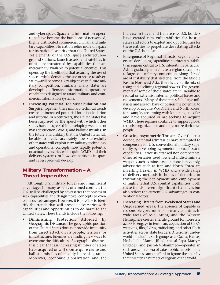and cyber space. Space and information operations have become the backbone of networked, highly distributed commercial civilian and military capabilities. No nation relies more on space for its national security than the United States. Yet elements of the U.S. space architecture ground stations, launch assets, and satellites in orbit—are threatened by capabilities that are increasingly available to potential enemies. This opens up the likelihood that assuring the use of space—while denying the use of space to adversaries—will become a key objective in future military competition. Similarly, many states are developing offensive information operations capabilities designed to attack military and commercial information systems.

• **Increasing Potential for Miscalculation and Surprise:** Together, these military-technical trends create an increased potential for miscalculation and surprise. In recent years, the United States has been surprised by the speed with which other states have progressed in developing weapons of mass destruction (WMD) and ballistic missiles. In the future, it is unlikely that the United States will be able to predict accurately how successfully other states will exploit new military technology and operational concepts, how rapidly potential or actual adversaries will acquire WMD and their delivery systems, or how competitions in space and cyber space will develop.

## **Military Transformation – A Threat Imperative**

Although U.S. military forces enjoy significant advantages in many aspects of armed conflict, the U.S. will be challenged by adversaries that possess or seek capabilities and design novel concepts to overcome our advantages. However, it is possible to identify the trends that will provide adversaries with capabilities and opportunities to do harm to the United States. These trends include the following:

• **Diminishing Protection Afforded by Geographic Distance:** The geographic position of the United States does not provide immunity from direct attack on its people, territory, or infrastructure. Enemies are finding new ways to overcome the difficulties of geographic distance. It is clear that an increasing number of states have acquired or will soon acquire cruise and ballistic missiles of steadily increasing range. Moreover, economic globalization and the

increase in travel and trade across U.S. borders have created new vulnerabilities for hostile states and actors to exploit and opportunities for these entities to perpetrate devastating attacks on the U.S. homeland.

- **Emergence of Regional Threats:** Regional powers are developing capabilities to threaten stability in regions critical to U.S. interests. In particular, Asia is gradually emerging as a region susceptible to large-scale military competition. Along a broad arc of instability that stretches from the Middle East to Northeast Asia, there is a volatile mix of rising and declining regional powers. The governments of some of these states are vulnerable to radical or extremist internal political forces and movements. Many of these states field large militaries and already have or possess the potential to develop or acquire WMD. Iran and North Korea, for example, are arming with long-range missiles and have acquired or are seeking to acquire WMD. These regimes continue to support global terrorist organizations and to terrorize their own people.
- **Growing Asymmetric Threats:** Over the past decade, potential adversaries have attempted to compensate for U.S. conventional military superiority by developing asymmetric approaches and capabilities. Terrorists attacked non-combatants; other adversaries used low-end indiscriminate weapons such as mines. As mentioned previously, adversaries such as Iran and North Korea are investing heavily in WMD and a wide range of delivery methods in hopes of deterring or frustrating the deployment and employment of highly lethal U.S. combat capabilities. Both these trends present significant challenges but also reflect the current U.S. advantages in conventional forces.
- **Increasing Threats from Weakened States and Ungoverned Areas:** The absence of capable or responsible governments in many countries in wide areas of Asia, Africa, and the Western Hemisphere creates a fertile ground for non-state actors to engage in terrorism, acquisition of CBRN weapons, illegal drug trafficking, and other illicit activities across state borders. A terrorist underworld—including such groups as al Qaeda, Hamas, Hezbollah, Islamic Jihad, the al-Aqsa Martyrs Brigades, and Jaish-I-Mohammed—operates in such areas. In an era of catastrophic terrorism, the United States cannot afford to ignore the anarchy that threatens a number of regions of the world.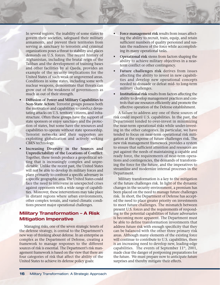In several regions, the inability of some states to govern their societies, safeguard their military armaments, and prevent their territories from serving as sanctuary to terrorists and criminal organizations poses a threat to stability and places demands on U.S. forces. The recent history of Afghanistan, including the brutal reign of the Taliban and the development of training bases and other facilities by al Qaeda, provides an example of the security implications for the United States of such weak or ungoverned areas. Conditions in some states, including some with nuclear weapons, demonstrate that threats can grow out of the weakness of governments as much as out of their strength.

- **Diffusion of Power and Military Capabilities to Non-State Actors:** Terrorist groups possess both the motivation and capabilities to conduct devastating attacks on U.S. territory, citizens, and infrastructure. Often these groups have the support of state sponsors or enjoy sanctuary and the protection of states, but some have the resources and capabilities to operate without state sponsorship. Terrorist networks and their supporters are exploiting globalization and actively seeking CBRN technology.
- **Increasing Diversity in the Sources and Unpredictability of the Locations of Conflict:** Together, these trends produce a geopolitical setting that is increasingly complex and unpredictable. Unlike the recent past, the United States will not be able to develop its military forces and plans primarily to confront a specific adversary in a specific geographic area. The United States could face the need to intervene in unexpected crises against opponents with a wide range of capabilities. Moreover, these interventions may take place in distant regions where urban environments, other complex terrain, and varied climatic conditions present major operational challenges.

#### **Military Transformation – A Risk Mitigation Imperative**

Managing risks, one of the seven strategic tenets of the defense strategy, is central to the Department's new way of thinking about defense. In an enterprise as complex as the Department of Defense, creating a framework to manage responses to the different sources of risk is essential. The Department's risk management framework is based on the view that there are four categories of risk that affect the ability of the United States to achieve its defense policy goals:

- **Force management risk** results from issues affecting the ability to recruit, train, equip, and retain sufficient numbers of quality personnel and sustain the readiness of the force while accomplishing its many operational tasks.
- **Operational risk** stems from factors shaping the ability to achieve military objectives in a nearterm conflict or other contingency.
- **Future challenges risk** derives from issues affecting the ability to invest in new capabilities and develop new operational concepts needed to dissuade or defeat mid- to long-term military challenges.
- **Institutional risk** results from factors affecting the ability to develop management practices and controls that use resources efficiently and promote the effective operation of the Defense establishment.

A failure to address any one of these sources of risk could imperil U.S. capabilities. In the past, the Department tended to over-invest in minimizing the near-term operational risks while under-investing in the other categories. In particular, we have tended to focus on near-term operational risk mitigation at the expense of future challenges risk. The new risk management framework provides a system to ensure that sufficient attention and resources are put against the needs of maintaining a capable and ready force, the requirements of near-term operations and contingencies, the demands of transforming the force for the future, and the imperatives to streamline and modernize internal processes in the Department.

Military transformation is a key to the mitigation of the future challenges risk. In light of the dynamic changes in the security environment, a premium has been placed on the need to manage future challenges risk. In short, the Department of Defense has accepted the need to place greater priority on investments to meet future challenges. The mismatch between present U.S. forces and the requirements of responding to the potential capabilities of future adversaries is becoming more apparent. The Department must be able to define transformation investments that address future risk with enough specificity that they can be balanced with the other three primary risk areas. Although many elements of the existing force will continue to contribute to U.S. capabilities, there is an increasing need to develop new, leading-edge capabilities. The events of September  $11<sup>th</sup>$ , 2001, made clear the danger of postponing preparations for the future. We must prepare now to anticipate future surprises and thereby mitigate their effects.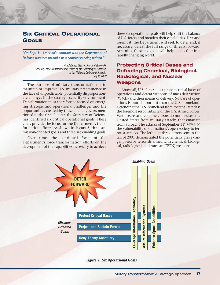# **SIX CRITICAL OPERATIONAL GOALS**

*"On Sept 11, America's contract with the Department of Defense was torn up and a new contract is being written."*

> *Vice Admiral (Ret.) Arthur K. Cebrowski, Director, Force Transformation, Office of the Secretary of Defense, at the National Defense University, July 9, 2002*

The purpose of military transformation is to maintain or improve U.S. military preeminence in the face of unpredictable, potentially disproportionate changes in the strategic security environment. Transformation must therefore be focused on emerging strategic and operational challenges and the opportunities created by these challenges. As mentioned in the first chapter, the Secretary of Defense has identified six critical operational goals. These goals provide the focus for the Department's transformation efforts. As shown in **Figure 5**, three are mission-oriented goals and three are enabling goals.

Over time, the continued focus of the Department's force transformation efforts on the deveopment of the capabilities necessary to achieve these six operational goals will help shift the balance of U.S. forces and broaden their capabilities. First and foremost, the Department will seek to deter and, if necessary, defeat the full range of threats forward. Attaining these six goals will help us do that in a rapidly changing world.

## **Protecting Critical Bases and Defeating Chemical, Biological, Radiological, and Nuclear Weapons**

Above all, U.S. forces must protect critical bases of operations and defeat weapons of mass destruction (WMD) and their means of delivery. No base of operations is more important than the U.S. homeland. Defending the U.S. homeland from external attack is the foremost responsibility of the U.S. Armed Forces. Vast oceans and good neighbors do not insulate the United States from military attacks that emanate from abroad. The attacks of September 11<sup>th</sup> revealed the vulnerability of our nations's open society to terrorist attacks. The lethal anthrax letters sent in the fall of 2001 demonstrated the potentially grave danger posed by terrorists armed with chemical, biological, radiological, and nuclear (CBRN) weapons.



**Figure 5. Six Operational Goals**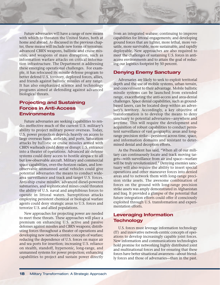Future adversaries will have a range of new means with which to threaten the United States, both at home and abroad. As discussed in the previous chapter, these means will include new forms of terrorism: advanced CBRN weapons, ballistic and cruise missiles, and weapons of mass disruption, such as information warfare attacks on critical information infrastructure. The Department is addressing these emerging operational challenges. For example, it has refocused its missile defense program to better defend U.S. territory, deployed forces, allies, and friends against ballistic missiles of any range. It has also emphasized science and technology programs aimed at defending against advanced biological threats.

## **Projecting and Sustaining Forces in Anti-Access Environments**

Future adversaries are seeking capabilities to render ineffective much of the current U.S. military's ability to project military power overseas. Today, U.S. power projection depends heavily on access to large overseas bases, airfields, and ports. Saturation attacks by ballistic or cruise missiles armed with CBRN warheads could deny or disrupt U.S. entrance into a theater of operations. Advanced air defense systems could deny access to hostile airspace to all but low-observable aircraft. Military and commercial space capabilities, over-the-horizon radars, and lowobservable unmanned aerial vehicles could give potential adversaries the means to conduct widearea surveillance and track and target U.S. forces. Anti-ship cruise missiles, advanced diesel-powered submarines, and sophisticated mines could threaten the ability of U.S. naval and amphibious forces to operate in littoral waters. Surreptitious attacks employing persistent chemical or biological warfare agents could deny strategic areas to U.S. forces and terrorize U.S. and allied populations.

New approaches for projecting power are needed to meet these threats. These approaches will place a premium on enhancing U.S. active and passive defenses against missiles and CBRN weapons; distributing forces throughout a theater of operations and developing new network-centric concepts of warfare; reducing the dependence of U.S. forces on major air and sea ports for insertion; increasing U.S. reliance on stealth, standoff, hypersonic, long-range, and unmanned systems for power projection; enhancing capabilities to project and sustain power directly from an integrated seabase; continuing to improve capabilities for littoral engagements; and developing ground forces that are lighter, more lethal, more versatile, more survivable, more sustainable, and rapidly deployable. New approaches are also required to meet the challenges of sustaining U.S. forces in antiaccess environments and to attain the goal of reducing our logistics footprint by 50 percent.

#### **Denying Enemy Sanctuary**

Adversaries are likely to seek to exploit territorial depth and the use of mobile systems, urban terrain, and concealment to their advantage. Mobile ballistic missile systems can be launched from extended range, exacerbating the anti-access and area-denial challenges. Space denial capabilities, such as groundbased lasers, can be located deep within an adversary's territory. Accordingly, a key objective of transformation is to develop the means to deny sanctuary to potential adversaries—anywhere and anytime. This will require the development and acquisition of robust capabilities to conduct persistent surveillance of vast geographic areas and longrange precision strike—persistent across time, space, and information domains and resistant to determined denial and deception efforts.

As the President has said, "When all of our military can continuously locate and track moving targets—with surveillance from air and space—warfare will be truly revolutionized." Denying enemies sanctuary will also require the ability to insert special operations and other maneuver forces into denied areas and to network them with long-range precision strike assets. The awesome combination of forces on the ground with long-range precision strike assets was amply demonstrated in Afghanistan and Iraq. It provided a glimpse of the potential that future integration efforts could offer if consciously exploited through U.S. transformation and experimentation efforts.

## **Leveraging Information Technology**

U.S. forces must leverage information technology (IT) and innovative network-centric concepts of operations to develop increasingly capable joint forces. New information and communications technologies hold promise for networking highly distributed joint and multinational forces and for ensuring that these forces have better situational awareness—about friendly forces and those of adversaries—than in the past.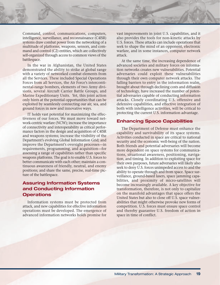Command, control, communications, computers, intelligence, surveillance, and reconnaissance (C4ISR) systems draw combat power from the networking of a multitude of platforms, weapons, sensors, and command and control (C2) entities, which are collectively self-organized through access to common views of the battlespace.

In the war in Afghanistan, the United States demonstrated the ability to strike at global range with a variety of networked combat elements from all the Services. These included Special Operations Forces from all Services, the Air Force's intercontinental-range bombers, elements of two Army divisions, several Aircraft Carrier Battle Groups, and Marine Expeditionary Units. Yet, this joint action only hints at the potential opportunities that can be exploited by seamlessly connecting our air, sea, and ground forces in new and innovative ways.

IT holds vast potential for maximizing the effectiveness of our forces. We must move toward network-centric warfare (NCW); increase the importance of connectivity and interoperability as critical performance factors in the design and acquisition of C4ISR and weapons systems; increase the visibility of the Department's evolving Global Information Grid; and improve the Department's oversight processes—in requirements, programming, and acquisition—for assessing a range of capabilities rather than specific weapons platforms. The goal is to enable U.S. forces to better communicate with each other; maintain a continuous awareness of friendly, neutral, and enemy positions; and share the same, precise, real-time picture of the battlespace.

## **Assuring Information Systems and Conducting Information Operations**

Information systems must be protected from attack, and new capabilities for effective information operations must be developed. The emergence of advanced information networks holds promise for vast improvements in joint U.S. capabilities, and it also provides the tools for non-kinetic attacks by U.S. forces. These attacks can include operations that seek to shape the mind of an opponent, electronic warfare, and in some instances, computer network attack.

At the same time, the increasing dependence of advanced societies and military forces on information networks creates new vulnerabilities. Potential adversaries could exploit these vulnerabilities through their own computer network attacks. The falling barriers to entry in the information realm, brought about through declining costs and diffusion of technology, have increased the number of potential adversaries capable of conducting information attacks. Closely coordinating U.S. offensive and defensive capabilities, and effective integration of both with intelligence activities, will be critical to protecting the current U.S. information advantage.

#### **Enhancing Space Capabilities**

The Department of Defense must enhance the capability and survivability of its space systems. Activities conducted in space are critical to national security and the economic well-being of the nation. Both friends and potential adversaries will become more dependent on space systems for communications, situational awareness, positioning, navigation, and timing. In addition to exploiting space for their own purposes, future adversaries will likely also seek to deny U.S. forces unimpeded access to and the ability to operate through and from space. Space surveillance, ground-based lasers, space jamming capabilities, and proximity of micro-satellites will become increasingly available. A key objective for transformation, therefore, is not only to capitalize on the manifold advantages that space offers the United States but also to close off U.S. space vulnerabilities that might otherwise provoke new forms of competition. U.S. forces must ensure space control and thereby guarantee U.S. freedom of action in space in time of conflict.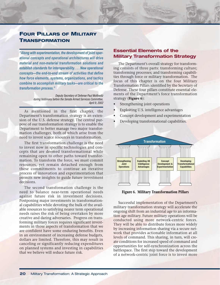## **FOUR PILLARS OF MILITARY TRANSFORMATION**

*"Along with experimentation, the development of joint operational concepts and operational architectures will drive material and non-material transformation solutions and establish standards for interoperability. . . . New operational concepts—the end-to-end stream of activities that define how force elements, systems, organizations, and tactics combine to accomplish military tasks—are critical to the transformation process."*

> *Deputy Secretary of Defense Paul Wolfowitz during testimony before the Senate Armed Services Committee, April 9, 2002*

As mentioned in the first chapter, the Department's transformation strategy is an extension of the U.S. defense strategy. The central purpose of our transformation strategy is to enable the Department to better manage two major transformation challenges, both of which arise from the need to invest scarce resources in transformation.

The first transformation challenge is the need to invest now in specific technologies and concepts that are deemed transformational while remaining open to other paths toward transformation. To transform the force, we must commit resources, yet remain detached enough from these commitments to continue an iterative process of innovation and experimentation that permits new insights to guide future investment decisions.

The second transformation challenge is the need to balance near-term operational needs against future risk in investment decisions. Postponing major investments in transformational capabilities while devoting the bulk of the available resources to satisfying nearer term operational needs raises the risk of being overtaken by more creative and daring adversaries. Progress on transforming military forces requires significant investments in those aspects of transformation that we are confident have some enduring benefits. Even in an environment of increasing defense budgets, dollars are limited. Therefore, this may result in canceling or significantly reducing expenditures on planned systems and investing in capabilities that we believe will reduce future risk.

## **Essential Elements of the Military Transformation Strategy**

The Department's overall strategy for transforming consists of three parts: transforming culture; transforming processes; and transforming capabilities through force or military transformation. The focus of this chapter is on the four Military Transformation Pillars identified by the Secretary of Defense. These four pillars constitute essential elements of the Department's force transformation strategy (**Figure 6**):

- Strengthening joint operations
- Exploiting U.S. intelligence advantages
- Concept development and experimentation
- Developing transformational capabilities.



**Figure 6. Military Transformation Pillars**

Successful implementation of the Department's military transformation strategy will accelerate the ongoing shift from an industrial age to an information age military. Future military operations will be conducted using more network-centric forces. They will be able to distribute forces more widely by increasing information sharing via a secure network that provides actionable information at all levels of command. This sharing, in turn, will create conditions for increased speed of command and opportunities for self-synchronization across the battlespace. The first step toward the development of a network-centric joint force is to invest more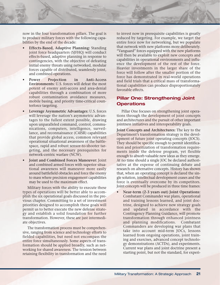now in the four transformation pillars. The goal is to produce military forces with the following capabilities by the end of the decade:

- **Effects-Based, Adaptive Planning:** Standing joint force headquarters (SJFHQ) will conduct effects-based, adaptive planning in response to contingencies, with the objective of defeating initial enemy threats using networked, modular forces capable of distributed, seamlessly joint, and combined operations.
- **Power Projection in Anti-Access Environments:** U.S. forces will defeat the most potent of enemy anti-access and area-denial capabilities through a combination of more robust contamination avoidance measures, mobile basing, and priority time-critical counterforce targeting.
- **Leverage Asymmetric Advantages:** U.S. forces will leverage the nation's asymmetric advantages to the fullest extent possible, drawing upon unparalleled command, control, communications, computers, intelligence, surveillance, and reconnaissance (C4ISR) capabilities that provide global access, common relevant operational situational awareness of the battlespace, rapid and robust sensor-to-shooter targeting, and the necessary prerequisites for network-centric warfare (NCW).
- **Joint and Combined Forces Maneuver:** Joint and combined armed forces with superior situational awareness will maneuver more easily around battlefield obstacles and force the enemy to mass where precision engagement capabilities may be used to the maximum effect.

Military forces with the ability to execute these types of operations will be better able to accomplish the six operational goals discussed in the previous chapter. Committing to a set of investment priorities designed to accomplish these goals will permit us to better execute the new defense strategy and establish a solid foundation for further transformation. However, these are just intermediate objectives.

The transformation process must be comprehensive, ranging from science and technology efforts to fielded capabilities, but need not encompass the entire force simultaneously. Some aspects of transformation should be applied broadly, such as networking for shared awareness. The tension between retaining flexibility in transformation and the need to invest now in prerequisite capabilities is greatly reduced by targeting. For example, we target the entire force now for networking, but we populate that network with new platforms more deliberately. "Vanguard" forces equipped with the new platforms will then be available to exploit new concepts and capabilities in operational environments and influence the development of the rest of the force. Heavier investments in the larger share of the force will follow after the smaller portion of the force has demonstrated in real-world operations and field trials that a critical mass of transformational capabilities can produce disproportionately favorable effects.

## **Pillar One: Strengthening Joint Operations**

Pillar One focuses on strengthening joint operations through the development of joint concepts and architectures and the pursuit of other important jointness initiatives and interoperability goals.

**Joint Concepts and Architectures:** The key to the Department's transformation strategy is the development of future joint operating concepts (JOCS). They should be specific enough to permit identification and prioritization of transformation requirements inside the defense program, yet flexible enough to absorb valuable new ideas as they emerge. At no time should a single JOC be declared authoritative at the expense of continuing debate and research on alternative concepts. History has shown that, when an operating concept is declared the single solution, intellectual development ceases and the force is eventually overcome by its competitors. Joint concepts will be produced in three time frames:

• **Near-term (2-3 years out) Joint Operations:** Combatant Commander war plans, operational and training lessons learned, and joint doctrine, designed to achieve new strategy goals and updated in accordance with the Contingency Planning Guidance, will promote transformation through enhanced jointness and planning modifications. Combatant Commanders are developing war plans that take into account mid-term JOCs, lessons learned from ongoing operations, joint training and exercises, advanced concept technology demonstrations (ACTDs), and experiments. Current war plans and joint doctrine present a starting point, but not the standard, for experi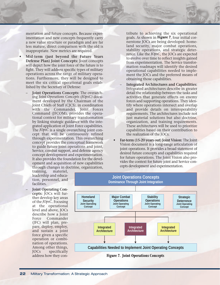mentation and future concepts. Because experimentation and new concepts frequently carry a new value structure or paradigm and are far less mature, direct comparison with the old is inappropriate. New metrics are required.

- **Mid-term (just beyond the Future Years Defense Plan) Joint Concepts:** Joint concepts will depict how the joint force of the future is to fight. They will address specific types of military operations across the range of military operations. Furthermore, they will be designed to meet the six critical operational goals established by the Secretary of Defense:
	- **Joint Operations Concepts:** The overarching *Joint Operations Concepts (JOpsC)* document developed by the Chairman of the Joint Chiefs of Staff (CJCS), in coordination with the Commander, Joint Forces Command (JFCOM), provides the operational context for military transformation by linking strategic guidance with the integrated application of Joint Force capabilities. The *JOpsC* is a single overarching joint concept that will be continuously refined through experimentation. This overarching concept provides the conceptual framework to guide future joint operations and joint, Service, combat support, and defense agency concept development and experimentation. It also provides the foundation for the development and acquisition of new capabilities through changes in doctrine, organization,

training, materiel, leadership and education, personnel, and facilities.

– **Joint Operating Concepts:** JOCs will further develop key areas of the *JOpsC*. Focusing at the operational level and above, JOCs describe how a Joint Force Commander (JFC) will plan, prepare, deploy, employ, and sustain a joint force given a specific operation or combination of operations. Among other things, JOCs specifically address how they contribute to achieving the six operational goals. As shown in **Figure 7**, four initial cornerstone JOCs are being developed: homeland security, major combat operations, stability operations, and strategic deterrence. Like the *JOpsC*, the JOCs are expected to evolve over time to reflect insights gained from experimentation. The Service transformation roadmaps will identify the desired operational capabilities needed to implement the JOCs and the preferred means of obtaining those capabilities.

- **Integrated Architectures and Capabilities:** Integrated architectures describe in greater detail the relationship between the tasks and activities that generate effects on enemy forces and supporting operations. They identify where operations intersect and overlap and provide details on interoperability requirements. The architectures include not just material solutions but also doctrine, organization, and training requirements. These architectures will be used to prioritize capabilities based on their contribution to the realization of the JOCs.
- **Far-term (15-20 years out) Joint Vision:** The Joint Vision document is a long-range articulation of joint operations. It provides a broad statement of desired future concepts and capabilities required for future operations. The Joint Vision also provides the context for future joint and Service concepts development and experimentation.

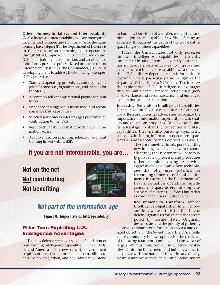**Other Jointness Initiatives and Interoperability Goals**: Increased interoperability is a key prerequisite for enhanced jointness and an imperative for the transforming force (**Figure 8**). The Department of Defense is in the process of strengthening joint operations through SJFHQ, improved joint command and control (C2), joint training transformation, and an expanded joint forces presence policy. Based on the results of interoperability studies, the Commander, JFCOM, is developing plans to address the following interoperability priorities:

- Standard operating procedures and deployable joint C2 processes, organizations, and systems for the SJFHQ
- A common relevant operational picture for joint forces
- Enhanced intelligence, surveillance, and reconnaissance (ISR) capabilities
- Selected sensor-to-shooter linkages prioritized by contribution to the JOCs
- Reachback capabilities that provide global information access
- Adaptive mission planning, rehearsal, and joint training linked with C4ISR.

# **If you are not interoperable, you are…**

**Not on the net Not contributing Not benefiting**



# *Not part of the information age*

**Figure 8. Imperative of Interoperability**

## **Pillar Two: Exploiting U.S. Intelligence Advantages**

The new defense strategy rests on a foundation of transforming intelligence capabilities. Our ability to defend America in the new security environment requires unprecedented intelligence capabilities to anticipate where, when, and how adversaries intend to harm us. Our vision of a smaller, more lethal, and nimble joint force capable of swiftly defeating an adversary throughout the depth of the global battlespace hinges on these capabilities.

Today, the United States not only possesses unique intelligence capabilities, currently unmatched by any potential adversary, but it also has numerous efforts underway to improve and expand current intelligence capabilities. At the same time, U.S. military dependence on information is growing. This is particularly true in light of the Department's transition to NCW. Pillar Two involves the exploitation of U.S. intelligence advantages through multiple intelligence collection assets, global surveillance and reconnaissance, and enhanced exploitation and dissemination.

**Increasing Demands on Intelligence Capabilities:** Demands on intelligence capabilities are certain to grow. Because potential adversaries recognize the importance of information superiority to U.S. strategy and operations, they are seeking to acquire similar advantage. To offset U.S. conventional military capabilities, they are also pursuing asymmetric strategies, including information operations, space warfare, and weapons of mass destruction (WMD).

> These asymmetric threats pose daunting new intelligence challenges. To respond effectively, the Department will vigorously pursue new processes and procedures to better exploit existing assets while aggressively developing new technologies that offer great potential for responding to new threats and requirements. In particular, the Department will treat information operations, intelligence, and space assets not simply as enablers of current U.S. forces but rather as core capabilities of future forces.

> **Requirement to Transform Defense Intelligence Capabilities:** Intelligence and how we use it—is the first line of defense against terrorists and the threats posed by hostile states. Originally designed around the priority of gathering

enormous amounts of information about a massive, fixed object (e.g., the Soviet bloc), the U.S. intelligence community is now coping with the challenge of following a far more complex and elusive set of targets. We must transform our intelligence capabilities within the Department and build new ones to keep pace with the nature of these threats. Clearly, we must improve or redesign our intelligence system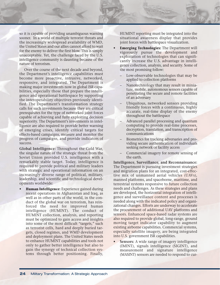so it is capable of providing unambiguous warning sooner. In a world of multiple terrorist threats and the increasingly widespread availability of WMD, the United States and our allies cannot afford to wait for the enemy to deliver the first blow. This is simply unacceptable. Yet, the challenge faced by the U.S. intelligence community is daunting because of the nature of terrorism.

Over the course of the next decade and beyond, the Department's intelligence capabilities must become more proactive, intrusive, networked, responsive, and integrated. The Department is making major investments now in global ISR capabilities, especially those that prepare the intelligence and operational battlespace by supporting the interoperability objectives previously identified. The Department's transformation strategy calls for such investments because they are critical prerequisites for the type of networked joint forces capable of achieving and fully exploiting decision superiority. The Department's investments in intelligence are also required to provide better warning of emerging crises, identify critical targets for effects-based campaigns, measure and monitor the progress of campaigns, and provide indicators of success.

**Global Intelligence:** Throughout the Cold War, the singular nature of the strategic threat from the Soviet Union provided U.S. intelligence with a remarkably stable target. Today, intelligence is required to provide political and military leaders with strategic and operational information on an increasingly diverse range of political, military, leadership, and scientific and technological developments worldwide:

• **Human Intelligence:** Experience gained during recent operations in Afghanistan and Iraq, as well as in other parts of the world, in the conduct of the global war on terrorism, has reinforced the need for improved human intelligence (HUMINT). The conduct of HUMINT collection, analysis, and reporting must be optimized to gain access and insights into some of the most difficult "targets," such as terrorist cells, hard and deeply buried targets, closed regimes, and WMD development and deployment plans. The United States needs to enhance HUMINT capabilities and tools not only to gather better intelligence but also to gain the synergy of technical collection systems through better positioning. Finally, HUMINT reporting must be integrated into the situational awareness display that provides joint forces with battlespace visualization.

- **Emerging Technologies:** The Department will vigorously pursue the development and exploitation of technologies that can significantly increase the U.S. advantage in intelligence collection, analysis, and security. Some of the most promising follow:
	- Low-observable technologies that may be applied to collection platforms
	- Nanotechnology that may result in miniature, mobile, autonomous sensors capable of penetrating the secure and remote facilities of an adversary
	- Ubiquitous, networked sensors providing friendly forces with a continuous, highly accurate, real-time display of the enemy throughout the battlespace
	- Advanced parallel processing and quantum computing to provide real-time processes, decryption, translation, and transcription of communications
	- Biometrics for tracking adversaries and providing secure authentication of individuals seeking network or facility access
	- Commercial imagery for remote sensing of the earth.

**Intelligence, Surveillance, and Reconnaissance:** The Department is pursuing investment strategies and migration plans for an integrated, cost-effective mix of unmanned aerial vehicles (UAVs), manned platforms, and spaceborne, maritime, and terrestrial systems responsive to future collection needs and challenges. As these strategies and plans are developed, the horizontal integration of intelligence and surveillance content and processes is needed along with the indicated policy and organizational changes. Efforts are underway to accelerate the procurement of additional UAV platforms and sensors. Enhanced space-based radar systems are also required to provide global, long-range, ground moving target indicator capability to augment existing airborne capabilities. Commercial systems, especially satellite imagery, are being integrated into U.S. government ISR capabilities.

**Sensors:** A wide range of imagery intelligence (IMINT), signals intelligence (SIGINT), and measurement and signature intelligence (MASINT) sensors are needed to respond to cur-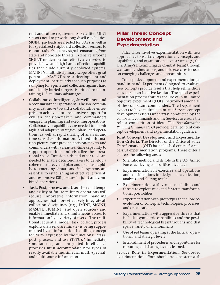rent and future requirements. Satellite IMINT sensors need to provide long-dwell capabilities. SIGINT payloads are needed for UAVs as well as for specialized shipboard collection sensors to capture radio frequency signals emanating from state and non-state threats. Extensive airborne SIGINT modernization efforts are needed to provide low- and high-band collection capabilities that elude currently deployed systems. MASINT's multi-disciplinary scope offers great potential. MASINT sensor development and deployment, particularly for such purposes as sampling for agents and collection against hard and deeply buried targets, is critical to maintaining U.S. military advantages.

- **Collaborative Intelligence, Surveillance, and Reconnaissance Operations:** The ISR community must move toward a collaborative enterprise to achieve more responsive support for civilian decision-makers and commanders engaged in planning and executing operations. Collaborative capabilities are needed to permit agile and adaptive strategies, plans, and operations, as well as rapid sharing of analysis and time-sensitive information. A fused information picture must provide decision-makers and commanders with a near-real-time capability to support operations and visualize the operational space. Decision aids and other tools are needed to enable decision-makers to develop a coherent strategy and plan and to adjust rapidly to emerging situations. Such systems are essential to establishing an effective, efficient, and responsive ISR posture in joint and combined operations.
- **Task, Post, Process, and Use:** The rapid tempo and agility of future military operations will require innovative information handling approaches that more effectively integrate all collection disciplines (e.g., IMINT, SIGINT, MASINT, HUMINT, and open sources) and enable immediate and simultaneous access to information by a variety of users. The traditional sequential model (task, collect, process exploit/analyze, disseminate) is being supplemented by an information-handling concept for NCW expressed by the functions: "task, post, process, and use (TPPU)." Immediate, simultaneous, and integrated intelligence processes must accommodate new types of readily available multimedia, multi-spectral, and multi-source information.

## **Pillar Three: Concept Development and Experimentation**

Pillar Three involves experimentation with new approaches to warfare, operational concepts and capabilities, and organizational constructs (e.g., the U.S. Army's Interim Brigade Combat Team) through war gaming, simulations, and field exercises focused on emerging challenges and opportunities.

Concept development and experimentation go hand-in-hand. Experiments designed to evaluate new concepts provide results that help refine those concepts in an iterative fashion. The spiral experimentation process features the use of joint limited objective experiments (LOEs) networked among all of the combatant commanders. The Department expects to have multiple joint and Service concept development efforts underway, conducted by the combatant commands and the Services to ensure the robust competition of ideas. The *Transformation Planning Guidance (TPG)* provides detailed joint concept development and experimentation guidance.

**Joint Concept Development and Experimentation Criteria:** The Director of the Office of Force Transformation (OFT) has published criteria for successful experimentation programs. These criteria address the following areas:

- Scientific method and its role in the U.S. Armed Forces achieving competitive advantage
- Experimentation in exercises and operations and considerations for design, data collection, analysis, and sharing results
- Experimentation with virtual capabilities and threats to explore mid- and far-term transformational possibilities
- Experimentation with prototypes that allow coevolution of concepts, technologies, processes, and organizations
- Experimentation with aggressive threats that include asymmetric capabilities and the possibility of technological breakthroughs and that span a variety of environments
- Use of red teams operating at the tactical, operational, and strategic levels
- Establishment of procedures and repositories for capturing and sharing lessons learned.

**Service Role in Experimentation:** Service-led experimentation efforts should be consistent with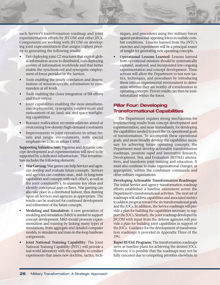each Service's transformation roadmap and joint experimentation efforts by JFCOM and other JFCs. Components are working with JFCOM on developing joint experimentation that assigns highest priority to generating the following results:

- Fast-deploying joint C2 structures that exploit global information access to distributed, non-deploying centers of information worldwide and that better enable the synchronized and synergistic employment of forces provided by the Services
- Tools enabling the timely correlation and dissemination of mission-specific information to commanders at all levels
- Tools enabling the closer integration of ISR efforts and their output
- Joint capabilities enabling the near-simultaneous deployment, synergistic employment and sustainment of air, land, sea, and space warfighting capabilities
- Resource reallocation recommendations aimed at overcoming low-density/high-demand constraints
- Improvements to joint operations in urban terrain and jungle environments, with special emphasis on LOEs in urban C4ISR.

**Supporting Infrastructure:** Vigorous and dynamic concept development and experimentation will need to be supported by a dedicated infrastructure. This infrastructure includes the following elements:

- **War Gaming:** War games can help Services and agencies develop and evaluate future concepts. Services and agencies can combine near-, mid- or long-term capabilities and concepts with each other's, as well as the joint community's, to examine key ideas and identify conceptual gaps or flaws. War gaming can also take place in a distributed fashion, thus drawing upon all Services and agencies as appropriate. The results can be analyzed for continued development and refinement of the future concepts.
- **Modeling and Simulation:** A new generation of modeling and simulation (M&S) is needed to support concept development. M&S should promote experimentation and training by linking many types of simulations, from aggregate and detailed computer models, to simulators and man-in-the-loop hardware components.
- **Joint National Training Capability:** The Joint National Training Capability (JNTC) will provide a real-world laboratory with the capability to conduct experiments that assess new doctrine, tactics, tech-

niques, and procedures using live military forces against professional opposing forces in realistic combat conditions. Lessons learned from the JNTC's exercises and experiments will be a principal source of insight for generating new operating concepts.

• **Operational Lessons Learned:** Lessons learned from operational missions should be systematically captured, analyzed, and incorporated into ongoing experimentation and concept development. These actions will allow the Department to test new tactics, techniques, and procedures by introducing them into an experimental environment to determine whether they are worthy of consideration in operating concepts. Proven results can then be institutionalized within the forces.

#### **Pillar Four: Developing Transformational Capabilities**

The Department requires strong mechanisms for implementing results from concept development and experimentation, and more immediately, for developing the capabilities needed to meet the six operational goals of transformation. To accomplish these operational goals, and more broadly develop the capabilities necessary for achieving future operating concepts, the Department must develop actionable transformation roadmaps, promote rapid and innovative Research, Development, Test, and Evaluation (RDT&E) alternatives, and transform joint training and education. It must also continue to make organizational changes, as appropriate, within the combatant commands and other military organizations.

**Developing Actionable Transformation Roadmaps:** The initial Service and agency transformation roadmap efforts established a baseline assessment across the Department's transformational activities. The next set of roadmaps will address capabilities and associated metrics to address progress toward the six transformational goals and the JOCs. In addition, the Service roadmaps will provide a plan for building the capabilities necessary to support the JOCs. Similarly, the joint roadmap developed by JFCOM with input from the defense agencies will provide a plan for building joint capabilities in support of the JOCs. Guidance for the development of transformation roadmaps is provided in Appendix Three of the *TPG.*

**Rapid RDT&E Programs:** The transformation roadmaps serve as baseline plans for achieving the desired JOCs. However, it is possible that the roadmaps may not be fully executed due to competing priorities elsewhere in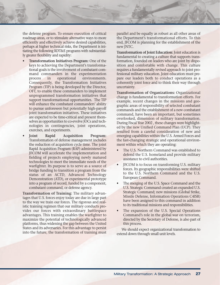the defense program. To ensure execution of critical roadmap areas, or to stimulate alternative ways to more efficiently and effectively achieve desired capabilities, perhaps at higher technical risks, the Department is initiating the following RDT&E programs with substantially greater flexibility and rapidity:

- **Transformation Initiatives Program:** One of the keys to achieving the Department's transformational goals is the involvement of combatant command commanders in the experimentation process in operational environments. Consequently, the Transformation Initiatives Program (TIP) is being developed by the Director, OFT, to enable these commanders to implement unprogrammed transformation initiatives that support transformational opportunities. The TIP will enhance the combatant commanders' ability to pursue unforeseen but potentially high-payoff joint transformation initiatives. These initiatives are expected to be time-critical and present themselves as opportunities to co-evolve JOCs and technologies in contingencies, joint operations, exercises, and experiments.
- **Joint Rapid Acquisition Program:** Transformation of defense management includes the reduction of acquisition cycle time. The joint Rapid Acquisition Program (RAP) administered by JFCOM will accelerate the implementation and fielding of projects employing newly matured technologies to meet the immediate needs of the warfighter. Its purpose is to serve as a source of bridge funding to transition a program from the status of an ACTD, Advanced Technology Demonstration (ATD), or experimental prototype into a program of record, funded by a component, combatant command, or defense agency.

**Transformation of Training:** The military advantages that U.S. forces enjoy today are due in large part to the way we train our forces. The rigorous and realistic training regimen that our military conducts provides our forces with extraordinary battlespace advantages. This training enables the warfighter to maximize the potential of technologically advanced platforms, thus widening the gap between the United States and its adversaries. For this advantage to persist into the future, the transformation of training must

parallel and be equally as robust as all other areas of the Department's transformational efforts. To this end, JFCOM is planning for the establishment of the new JNTC.

**Transformation of Joint Education:** Joint education is fundamental to creating a culture that supports transformation, founded on leaders who are joint by disposition and comfortable with change. This culture requires a fundamentally revised approach to joint professional military education. Joint education must prepare our leaders both to conduct operations as a coherently joint force and to think their way through uncertainty.

**Transformation of Organizations:** Organizational change is fundamental to transformation efforts. For example, recent changes in the missions and geographic areas of responsibility of selected combatant commands and the establishment of a new combatant command, have been an important, but sometimes overlooked, dimension of military transformation. During Fiscal Year 2002 , these changes were highlighted by the new Unified Command Plan (UCP). They resulted from a careful consideration of new and emerging capabilities within the U.S. Armed Forces and the fast-changing strategic and operational environment within which they are operating:

- The U.S. Northern Command was established to defend the U.S. homeland and provide military assistance to civil authorities.
- JFCOM is to focus on transforming U.S. military forces. Its geographic responsibilities were shifted to the U.S. Northern Command and the U.S. European Command.
- The merging of the U.S. Space Command and the U.S. Strategic Command created an expanded U.S. Strategic Command; new missions (Global Strike, Missile Defense, Information Operations C4ISR) have been assigned to this command in addition to its traditional missions and responsibilities.
- The expansion of the U.S. Special Operations Command's role in the global war on terrorism, directed by the Secretary of Defense, is also part of this process.

We should expect organizational transformation to extend down through small unit levels.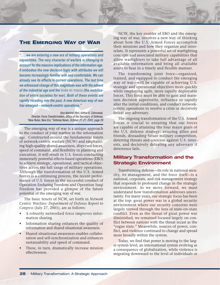## **THE EMERGING WAY OF WAR**

*". . . we are entering a new era of military operations and capabilities. The very character of warfare is changing to account for the massive implications of the information age. It embodies the new decision logic with attributes we will become increasingly familiar with and comfortable. We can already see its effects in current operations. The last time we witnessed change of this magnitude was with the advent of the industrial age and the* levée en masse *(the mobilization of entire societies for war). Both of these events are rapidly receding into the past. A new American way of war has emerged – network-centric operations."*

*Vice Admiral (Ret.) Arthur K. Cebrowski, Director, Force Transformation, Office of the Secretary of Defense, "New Rules, New Era,"* Defense News*, October 21-27, 2002, page 28*

The emerging way of war is a unique approach to the conduct of joint warfare in the information age. Constructed around the fundamental tenets of network-centric warfare (NCW) and emphasizing high-quality shared awareness, dispersed forces, speed of command, and flexibility in planning and execution, it will result in U.S. forces conducting immensely powerful effects-based operations (EBO) to achieve strategic, operational, and tactical objectives across the full range of military operations. Although the transformation of the U.S. Armed Forces is a continuing process, the recent performance of U.S. forces in the successful conduct of Operation Enduring Freedom and Operation Iraqi Freedom has provided a glimpse of the future potential of the emerging way of war.

The basic tenets of NCW, set forth in *Network Centric Warfare: Department of Defense Report to Congress* (July 27, 2001), are as follows:

- A robustly networked force improves information sharing.
- Information sharing enhances the quality of information and shared situational awareness.
- Shared situational awareness enables collaboration and self-synchronization and enhances sustainability and speed of command.
- These, in turn, dramatically increase mission effectiveness.

NCW, the key enabler of EBO and the emerging way of war, involves a new way of thinking about how the U.S. Armed Forces accomplish their missions and how they organize and interrelate. It represents a powerful set of warfighting concepts and associated military capabilities that allow warfighters to take full advantage of all available information and bring all available assets to bear in a timely and flexible manner.

The transforming joint force—organized, trained, and equipped to conduct the emerging way of war—will be capable of achieving U.S. strategic and operational objectives more quickly while employing agile, more rapidly deployable forces. This force must be able to gain and maintain decision superiority, influence or rapidly alter the initial conditions, and conduct networkcentric operations to resolve a crisis or decisively defeat any adversary.

The ongoing transformation of the U.S. Armed Forces is crucial to ensuring that our forces are capable of attaining the four major goals of the U.S. defense strategy: assuring allies and friends, dissuading future military competition, deterring threats and coercion against U.S. interests, and decisively defeating any adversary if deterrence fails.

#### **Military Transformation and the Strategic Environment**

Transforming defense—its role in national security, its management, and the force itself—is a national, corporate, and risk management strategy that responds to profound change in the strategic environment. As we move forward, we must understand how transformation addresses uncertainty. For many years, our strategic focus has been at the top: great power war in a global security environment where our security concerns were largely viewed through the lens of state-on-state conflict. Even as the threat of great power war diminished, we remained focused largely on conflict between nations with the threat recast as the "rogue state." Meanwhile, sources of power, conflict, and violence continued to change and spread more broadly within the system.

Today, we find that power is moving to the larger system level, an international system evolving as a consequence of globalization, while violence is migrating downward to the level of individuals or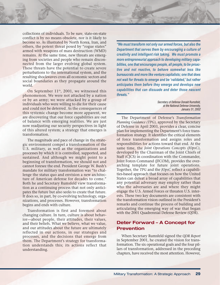collections of individuals. To be sure, state-on-state conflict is by no means obsolete, nor is it likely to become so. As illustrated by North Korea, Iran, and others, the potent threat posed by "rogue states" armed with weapons of mass destruction (WMD) remains. At the same time, new threats are emerging from societies and people who remain disconnected from the larger evolving global system. These threats have the potential to create severe perturbations to the international system, and the resulting shockwaves cross all economic sectors and social boundaries as they propagate around the world.

On September  $11<sup>th</sup>$ , 2001, we witnessed this phenomenon. We were not attacked by a nation or by an army; we were attacked by a group of individuals who were willing to die for their cause and could not be deterred. As the consequences of this systemic change become more apparent, we are discovering that our force capabilities are out of balance with emerging realities. We are just now readjusting our security perspectives in light of this altered system; a strategy that emerges is transformation.

The magnitude and pace of change in the strategic environment compel a transformation of the U.S. military, as well as the organizations and processes by which it is controlled, supported, and sustained. And although we might point to a beginning of transformation, we should not and cannot foresee the end. President George W. Bush's mandate for military transformation was "to challenge the status quo and envision a new architecture of American defense for decades to come." Both he and Secretary Rumsfeld view transformation as a continuing process that not only anticipates the future but also seeks to create that future. It does so, in part, by co-evolving technology, organizations, and processes. However, transformation begins and ends with culture.

Transformation is first and foremost about changing culture. In turn, culture is about behavior—about people, their attitudes, their values, and their beliefs. What we believe, what we value, and our attitudes about the future are ultimately reflected in our actions, in our strategies and processes, and the decisions that emerge from them. The Department's strategy for transformation understands this; its actions reflect that understanding.

*"We must transform not only our armed forces, but also the Department that serves them by encouraging a culture of creativity and intelligent risk taking. We must promote a more entrepreneurial approach to developing military capabilities, one that encourages people, all people, to be proactive and not reactive, to behave somewhat less like bureaucrats and more like venture capitalists; one that does not wait for threats to emerge and be 'validated,' but rather anticipates them before they emerge and develops new capabilities that can dissuade and deter those nascent threats."* 

> *Secretary of Defense Donald Rumsfeld, at the National Defense University, January 31, 2002*

The Department of Defense's *Transformation Planning Guidance (TPG)*, approved by the Secretary of Defense in April 2003, provides a clear, concise plan for implementing the Department's force transformation strategy. It identifies the critical elements of force transformation and assigns roles and responsibilities for actions toward that end. At the same time, the *Joint Operations Concepts (JOpsC)*, developed by the Chairman of the Joint Chiefs of Staff (CJCS) in coordination with the Commander, Joint Forces Command (JFCOM), provides the overarching template for future joint operations. Together, the *TPG* and the *JOpsC* reflect a capabilities-based approach that focuses on how the United States can defeat a broad array of capabilities that any potential adversary may employ rather than who the adversaries are and where they might engage the U.S. Armed Forces or threaten U.S. interests. These two key documents are consistent with the transformation vision outlined in the President's remarks and continue the process of building and articulating the emerging way of war that began with the 2001 Quadrennial Defense Review (QDR).

#### **Deter Forward – A Concept for Prevention**

When Secretary Rumsfeld signed the *QDR Report* in September 2001, he created the vision for transformation. The six operational goals and the four pillars of transformation, addressed in the preceding chapters, have received the most attention. However,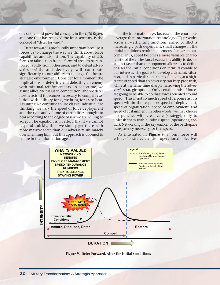one of the most powerful concepts in the *QDR Report*, and one that has received the least scrutiny, is the concept of "deter forward."

Deter forward is profoundly important because it forces us to change the way we think about force capabilities and disposition. The capability of U.S. forces to take action from a forward area, to be reinforced rapidly from other areas, and to defeat adversaries swiftly and decisively will contribute significantly to our ability to manage the future strategic environment. Consider for a moment the implications of deterring and defeating an enemy with minimal reinforcements. In peacetime, we assure allies, we dissuade competition, and we deter hostile acts. If it becomes necessary to compel resolution with military force, we bring forces to bear. Assuming we continue to use classic industrial age thinking, we vary the speed of force deployment and the type and volume of capabilities brought to bear according to the degree of risk we are willing to accept. The equation is, in effect, that if we cannot respond quickly, then we simply get there with more massive force than our adversary, ultimately overwhelming him. But this approach is doomed to failure in the information age.

In the information age, because of the enormous leverage that information technology (IT) provides across all warfighting functions, armed conflict is increasingly path dependent: small changes in the initial conditions result in enormous changes in outcome. Thus, speed becomes a more valuable characteristic of the entire force because the ability to decide and act faster than our opponent allows us to define or alter the initial conditions on terms favorable to our interests. The goal is to develop a dynamic situation, and in particular, one that is changing at a higher rate of speed than an adversary can keep pace with, while at the same time sharply narrowing the adversary's strategic options. Only certain kinds of forces are going to be able to do that: forces oriented around speed. This is not so much speed of response as it is speed within the response: speed of deployment, speed of organization, speed of employment, and speed of sustainment. In other words, we may choose our punches with great care (strategy), only to unleash them with blinding speed (operations, tactics). Networking is the key enabler of the battlespace transparency necessary for that speed.

As illustrated in **Figure 9**, a joint force will achieve its strategic and/or operational objectives



**Figure 9. Deter Forward, Alter the Initial Conditions**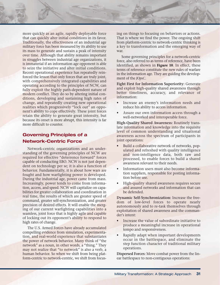more quickly as an agile, rapidly deployable force that can quickly alter initial conditions in its favor. Traditionally, the effectiveness of an industrial age military force has been measured by its ability to use its mass to generate and sustain a peak of intensity over time. Although that ability remains important in struggles between industrial age organizations, it is immaterial if an information age opponent is able to seize the initiative and alter initial conditions. Recent operational experience has repeatedly reinforced the lesson that only forces that are truly joint, with comprehensively integrated capabilities and operating according to the principles of NCW, can fully exploit the highly path-dependent nature of modern conflict. They do so by altering initial conditions, developing and sustaining high rates of change, and repeatedly creating new operational realities which progressively "lock out" an opponent's ability to cope effectively. These joint forces retain the ability to generate great intensity, but because its onset is more abrupt, this intensity is far more difficult to counter.

## **Governing Principles of a Network-Centric Force**

Network-centric organizations and an understanding of the governing principles of NCW are required for effective "deterrence forward" forces capable of conducting EBO. NCW is not just dependent on technology per se; it is also a function of behavior. Fundamentally, it is about how wars are fought and how warfighting power is developed. During the industrial age, power came from mass. Increasingly, power tends to come from information, access, and speed. NCW will capitalize on capabilities for greater collaboration and coordination in real time, the results of which are greater speed of command, greater self-synchronization, and greater precision of desired effects. It will enable the merging of our current warfighting capabilities into a seamless, joint force that is highly agile and capable of locking out its opponent's ability to respond to high rates of change.

The U.S. Armed Forces have already accumulated compelling evidence from simulation, experimentation, and real-world experience that substantiates the power of network behavior. Many think of "the network" as a noun, in other words, a "thing." They may not realize that "to network" is also a verb, a human behavior. So when we shift from being platform-centric to network-centric, we shift from focusing on things to focusing on behaviors or actions. That is where we find the power. The ongoing shift from platform-centric to network-centric thinking is a key to transformation and the emerging way of war.

Some governing principles for a network-centric force, also referred to as terms of reference, have been identified, as shown in **Figure 10**. In effect, these terms of reference constitute the new rules of warfare in the information age. They are guiding the development of the *JOpsC*.

**Fight First for Information Superiority:** Generate and exploit high-quality shared awareness through better timeliness, accuracy, and relevance of information:

- Increase an enemy's information needs and reduce his ability to access information.
- Assure our own information access through a well-networked and interoperable force.

**High-Quality Shared Awareness:** Routinely translate information and knowledge into the requisite level of common understanding and situational awareness across the spectrum of participants in joint operations:

- Build a collaborative network of networks, populated and refreshed with quality intelligence and non-intelligence data, both raw and processed, to enable forces to build a shared awareness relevant to their needs.
- Information users must also become information suppliers, responsible for posting information before use.
- High-quality shared awareness requires secure and assured networks and information that can be defended.

**Dynamic Self-Synchronization:** Increase the freedom of low-level forces to operate nearly autonomously and to re-task themselves through exploitation of shared awareness and the commander's intent:

- Increase the value of subordinate initiative to produce a meaningful increase in operational tempo and responsiveness.
- Rapidly adapt when important developments occur in the battlespace, and eliminate the step function character of traditional military operations.

**Dispersed Forces:** Move combat power from the linear battlespace to non-contiguous operations: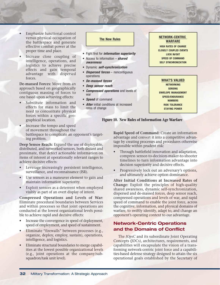- Emphasize functional control versus physical occupation of the battlespace and generate effective combat power at the proper time and place.
- Increase close coupling of intelligence, operations, and logistics to achieve precise effects and gain temporal advantage with dispersed forces.

**De-massed Forces:** Move from an approach based on geographically contiguous massing of forces to one based upon achieving effects:

- Substitute information and effects for mass to limit the need to concentrate physical forces within a specific geographical location.
- Increase the tempo and speed of movement throughout the battlespace to complicate an opponent's targeting problem.

**Deep Sensor Reach:** Expand the use of deployable, distributed, and networked sensors, both distant and proximate, that detect actionable information on items of interest at operationally relevant ranges to achieve decisive effects:

- Leverage increasingly persistent intelligence, surveillance, and reconnaissance (ISR).
- Use sensors as a maneuver element to gain and maintain information superiority.
- Exploit sensors as a deterrent when employed visibly as part of an overt display of intent.

**Compressed Operations and Levels of War:** Eliminate procedural boundaries between Services and within processes so that joint operations are conducted at the lowest organizational levels possible to achieve rapid and decisive effects:

- Increase the convergence in speed of deployment, speed of employment, and speed of sustainment.
- Eliminate "firewalls" between processes (e.g., organize, deploy, employ, sustain), operations, intelligence, and logistics.
- Eliminate structural boundaries to merge capabilities at the lowest possible organizational levels (e.g., joint operations at the company/subsquadron/task unit level).

#### **The New Rules**

- Fight first for *information superiority*
- Access to information *shared awareness*
- Dynamic *self-synchronization*
- *Dispersed forces* noncontiguous operations
- *De-massed forces*
- *Deep sensor reach*
- *Compressed operations* and levels of war
- *Speed* of command
- *Alter* initial conditions at increased rates of change

#### **NETWORK-CENTRIC WARFARE**

**HIGH RATES OF CHANGE CLOSELY COUPLED EVENTS LOCK IN/OUT SPEED OF COMMAND SELF SYNCHRONIZATION**

#### **WHAT'S VALUED**

**NETWORKING SENSING ENVELOPE MANAGEMENT SPEED/ENDURANCE NUMBERS RISK TOLERANCE STAYING POWER**

#### **Figure 10. New Rules of Information Age Warfare**

**Rapid Speed of Command:** Create an information advantage and convert it into a competitive advantage by creating processes and procedures otherwise impossible within prudent risk:

- Through battlefield innovation and adaptation, compress sensor-to-decision-maker-to-shooter timelines to turn information advantage into decision superiority and decisive effects.
- Progressively lock out an adversary's options, and ultimately achieve option dominance.

**Alter Initial Conditions at Increased Rates of Change:** Exploit the principles of high-quality shared awareness, dynamic self-synchronization, dispersed and de-massed forces, deep sensor reach, compressed operations and levels of war, and rapid speed of command to enable the joint force, across the cognitive, information, and physical domains of warfare, to swiftly identify, adapt to, and change an opponent's operating context to our advantage.

## **Network-Centric Operations and the Domains of Conflict**

The *JOpsC* and its subordinate Joint Operating Concepts (JOCs), architectures, requirements, and capabilities will encapsulate the vision of a transforming network-centric joint force and a capabilities-based defense strategy designed to attain the six operational goals established by the Secretary of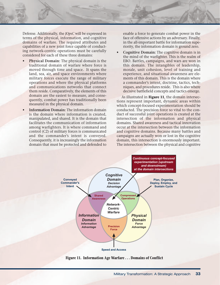Defense. Additionally, the *JOpsC* will be expressed in terms of the physical, information, and cognitive domains of warfare. The required attributes and capabilities of a new joint force capable of conducting network-centric operations must be carefully considered for each of these three domains:

- **Physical Domain:** The physical domain is the traditional domain of warfare where force is moved through time and space. It spans the land, sea, air, and space environments where military forces execute the range of military operations and where the physical platforms and communications networks that connect them reside. Comparatively, the elements of this domain are the easiest to measure, and consequently, combat power has traditionally been measured in the physical domain.
- **Information Domain:** The information domain is the domain where information is created, manipulated, and shared. It is the domain that facilitates the communication of information among warfighters. It is where command and control (C2) of military forces is communicated and the commander's intent is conveyed. Consequently, it is increasingly the information domain that must be protected and defended to

enable a force to generate combat power in the face of offensive actions by an adversary. Finally, in the all-important battle for information superiority, the information domain is ground zero.

• **Cognitive Domain:** The cognitive domain is in the mind of the warfighter. This is the realm of EBO. Battles, campaigns, and wars are won in this domain. The intangibles of leadership, morale, unit cohesion, level of training and experience, and situational awareness are elements of this domain. This is the domain where a commander's intent, doctrine, tactics, techniques, and procedures reside. This is also where decisive battlefield concepts and tactics emerge.

As illustrated in **Figure 11**, the domain intersections represent important, dynamic areas within which concept-focused experimentation should be conducted. The precision force so vital to the conduct of successful joint operations is created at the intersection of the information and physical domains. Shared awareness and tactical innovation occur at the intersection between the information and cognitive domains. Because many battles and campaigns are actually won or lost in the cognitive domain, this intersection is enormously important. The intersection between the physical and cognitive



**Figure 11. Information Age Warfare . . . Domains of Conflict**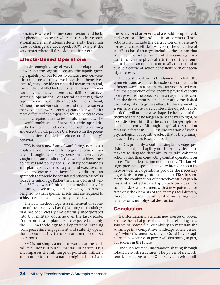domains is where the time compression and lockout phenomenon occur, where tactics achieve operational and even strategic effects, and where high rates of change are developed. NCW exists at the very center where all three domains intersect.

#### **Effects-Based Operations**

In the emerging way of war, the development of network-centric organizations and the rapidly growing capability of our forces to conduct network-centric operations are not viewed as ends in themselves. Instead, they provide an essential means to an end, the conduct of EBO by U.S. forces. Unless our forces can apply their network-centric capabilities to achieve strategic, operational, or tactical objectives, these capabilities will be of little value. On the other hand, without the network structure and the phenomena that go on in network-centric operations, it will be far more difficult, if not impossible, for U.S. forces to conduct EBO against adversaries in future conflicts. The powerful combination of network-centric capabilities in the form of an effects-based approach to planning and execution will provide U.S. forces with the potential to achieve the desired effects on the enemy's behavior.

EBO is not a new form of warfighting, nor does it displace any of the currently recognized forms of warfare. Throughout history, decision-makers have sought to create conditions that would achieve their objectives and policy goals. Military commanders and planners have tried to plan and execute campaigns to create such favorable conditions—an approach that would be considered "effects-based" in today's terminology. Rather than a new form of warfare, EBO is a way of thinking or a methodology for planning, executing, and assessing operations designed to attain specific effects that are required to achieve desired national security outcomes.

The EBO methodology is a refinement or evolution of the objectives-based planning methodology that has been clearly and carefully incorporated into U.S. military doctrine over the last decade. Commanders and planners are expected to apply the EBO methodology to all operations, ranging from peacetime engagement and stability operations to combating terrorism and major combat operations.

EBO is not simply a mode of warfare at the tactical level, nor is it purely military in nature. EBO encompasses the full range of political, military, and economic actions a nation might take to shape the behavior of an enemy, of a would-be opponent, and even of allies and coalition partners. These actions may include the destruction of an enemy's forces and capabilities. However, the objective of an effects-based strategy, including the actions that advance it, is not to win a military campaign or a war through the physical attrition of the enemy but to induce an opponent or an ally or a neutral to pursue a course of action consistent with our security interests.

The question of will is fundamental to both the symmetric and asymmetric models of conflict but in different ways. In a symmetric, attrition-based conflict, the destruction of the enemy's physical capacity to wage war is the objective. In an asymmetric conflict, the destruction is aimed at creating the desired psychological or cognitive effect. In the asymmetric, essentially effects-based contest, the objective is to break the will or otherwise shape the behavior of the enemy so that he no longer retains the will to fight, or to so disorient him that he can no longer fight or react coherently. Although physical destruction remains a factor in EBO, it is the creation of such a psychological or cognitive effect that is the primary focus of the effects-based approach.

EBO is primarily about focusing knowledge, precision, speed, and agility on the enemy decisionmakers to degrade their ability to take coherent action rather than conducting combat operations on more efficient destruction of the enemy. The knowledge, precision, speed, and agility brought about by network-centric operations provide the necessary ingredients for entry into the realm of EBO. In summary, the combination of network-centric capabilities and an effects-based approach provides U.S. commanders and planners with a new potential for attacking the elements of the enemy's will directly, thereby avoiding, or at least diminishing, our reliance on sheer physical destruction.

#### **Conclusion**

Transformation is yielding new sources of power. Because the global pace of change is accelerating, new sources of power fuel our ability to maintain the advantage in a competitive landscape where yesterday's winner is tomorrow's target. Our ability to capitalize on new sources of power will determine, in part, our success in the future.

One such source is information sharing through robust network structures. The power of networkcentric operations and EBO impacts all levels of mil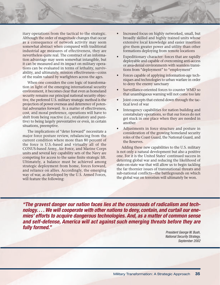itary operations from the tactical to the strategic. Although the order of magnitude changes that occur as a consequence of network activity may seem somewhat abstract when compared with traditional industrial age measures of effectiveness, they are nevertheless quite real. The construct of an information advantage may seem somewhat intangible, but it can be measured and its impact on military operations can be evaluated in terms of lethality, survivability, and ultimately, mission effectiveness—coins of the realm valued by warfighters across the ages.

When one considers the core logic of transformation in light of the emerging international security environment, it becomes clear that even as homeland security remains our principal national security objective, the preferred U.S. military strategic method is the projection of power overseas and deterrence of potential adversaries forward. As a matter of effectiveness, cost, and moral preference, operations will have to shift from being reactive (i.e., retaliatory and punitive) to being largely preventative or even, in certain situations, preemptive.

The implications of "deter forward" necessitate a major force posture review, rebalancing from the current condition where more than 80 percent of the force is U.S.-based and virtually all of the CONUS-based Army, Air Force, and Marine Corps units and several key capability sets of the Navy are competing for access to the same finite strategic lift. Ultimately, a balance must be achieved among strategic deployment from home, forces forward, and reliance on allies. Accordingly, the emerging way of war, as developed by the U.S. Armed Forces, will feature the following:

- Increased focus on highly networked, small, but broadly skilled and highly trained units whose extensive local knowledge and easier insertion give them greater power and utility than other formations deploying from remote locations
- Expeditionary character: forces that are rapidly deployable and capable of overcoming anti-access or area-denial environments with seamless transitions from "deployment" to "employment"
- Forces capable of applying information-age techniques and technologies to urban warfare in order to deny the enemy sanctuary
- Surveillance-oriented forces to counter WMD so that unambiguous warning will not come too late
- Joint concepts that extend down through the tactical level of war
- Interagency capabilities for nation building and constabulary operations, so that our forces do not get stuck in one place when they are needed in another
- Adjustments in force structure and posture in consideration of the growing homeland security roles of the Coast Guard, the National Guard, and the Reserves.

Adding these new capabilities to the U.S. military is not only a natural development but also a positive one. For it is the United States' continued success in deterring global war and reducing the likelihood of state-on-state war that will allow us to begin tackling the far thornier issues of transnational threats and sub-national conflicts—the battlegrounds on which the global war on terrorism will ultimately be won.

*"The gravest danger our nation faces lies at the crossroads of radicalism and technology. . . . We will cooperate with other nations to deny, contain, and curtail our enemies' efforts to acquire dangerous technologies. And, as a matter of common sense and self-defense, America will act against such emerging threats before they are fully formed."*

> *President George W. Bush, National Security Strategy, September 2002*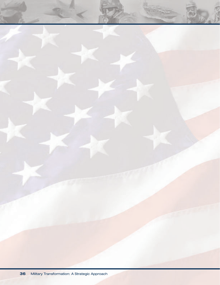